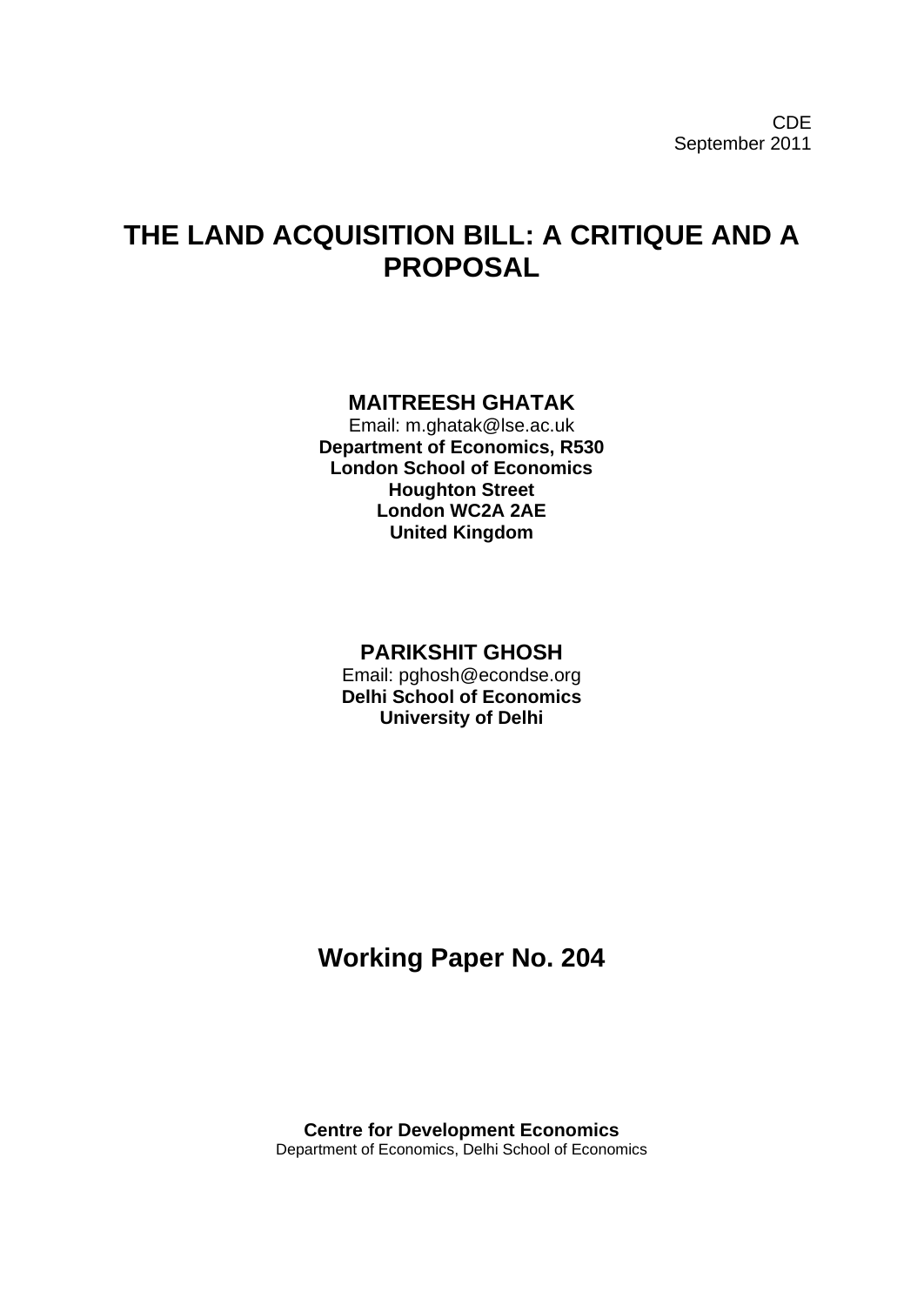# **THE LAND ACQUISITION BILL: A CRITIQUE AND A PROPOSAL**

# **MAITREESH GHATAK**

Email: m.ghatak@lse.ac.uk **Department of Economics, R530 London School of Economics Houghton Street London WC2A 2AE United Kingdom**

## **PARIKSHIT GHOSH**

Email: pghosh@econdse.org **Delhi School of Economics University of Delhi**

# **Working Paper No. 204**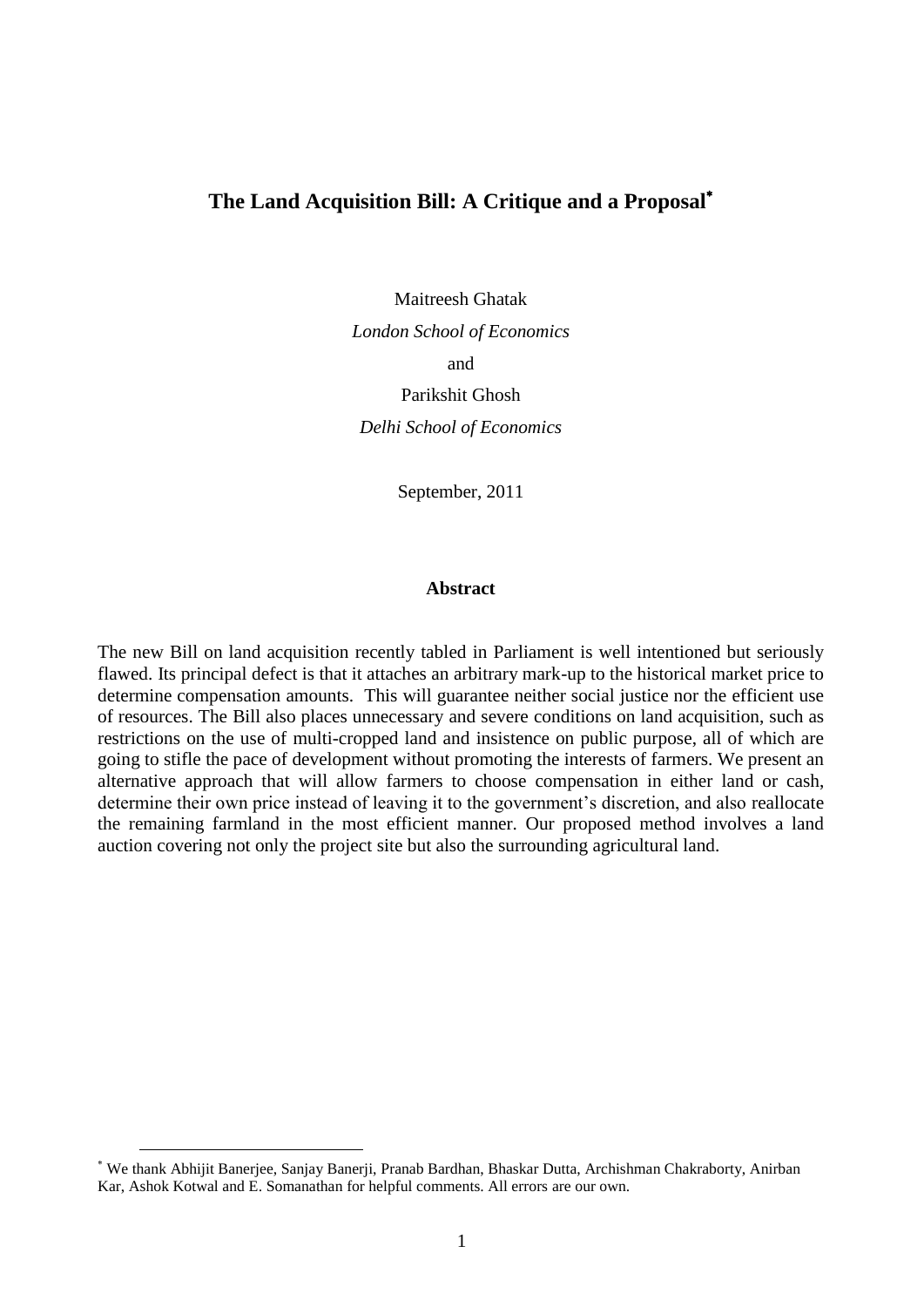## **The Land Acquisition Bill: A Critique and a Proposal**

Maitreesh Ghatak *London School of Economics* and Parikshit Ghosh *Delhi School of Economics*

September, 2011

#### **Abstract**

The new Bill on land acquisition recently tabled in Parliament is well intentioned but seriously flawed. Its principal defect is that it attaches an arbitrary mark-up to the historical market price to determine compensation amounts. This will guarantee neither social justice nor the efficient use of resources. The Bill also places unnecessary and severe conditions on land acquisition, such as restrictions on the use of multi-cropped land and insistence on public purpose, all of which are going to stifle the pace of development without promoting the interests of farmers. We present an alternative approach that will allow farmers to choose compensation in either land or cash, determine their own price instead of leaving it to the government's discretion, and also reallocate the remaining farmland in the most efficient manner. Our proposed method involves a land auction covering not only the project site but also the surrounding agricultural land.

<u>.</u>

We thank Abhijit Banerjee, Sanjay Banerji, Pranab Bardhan, Bhaskar Dutta, Archishman Chakraborty, Anirban Kar, Ashok Kotwal and E. Somanathan for helpful comments. All errors are our own.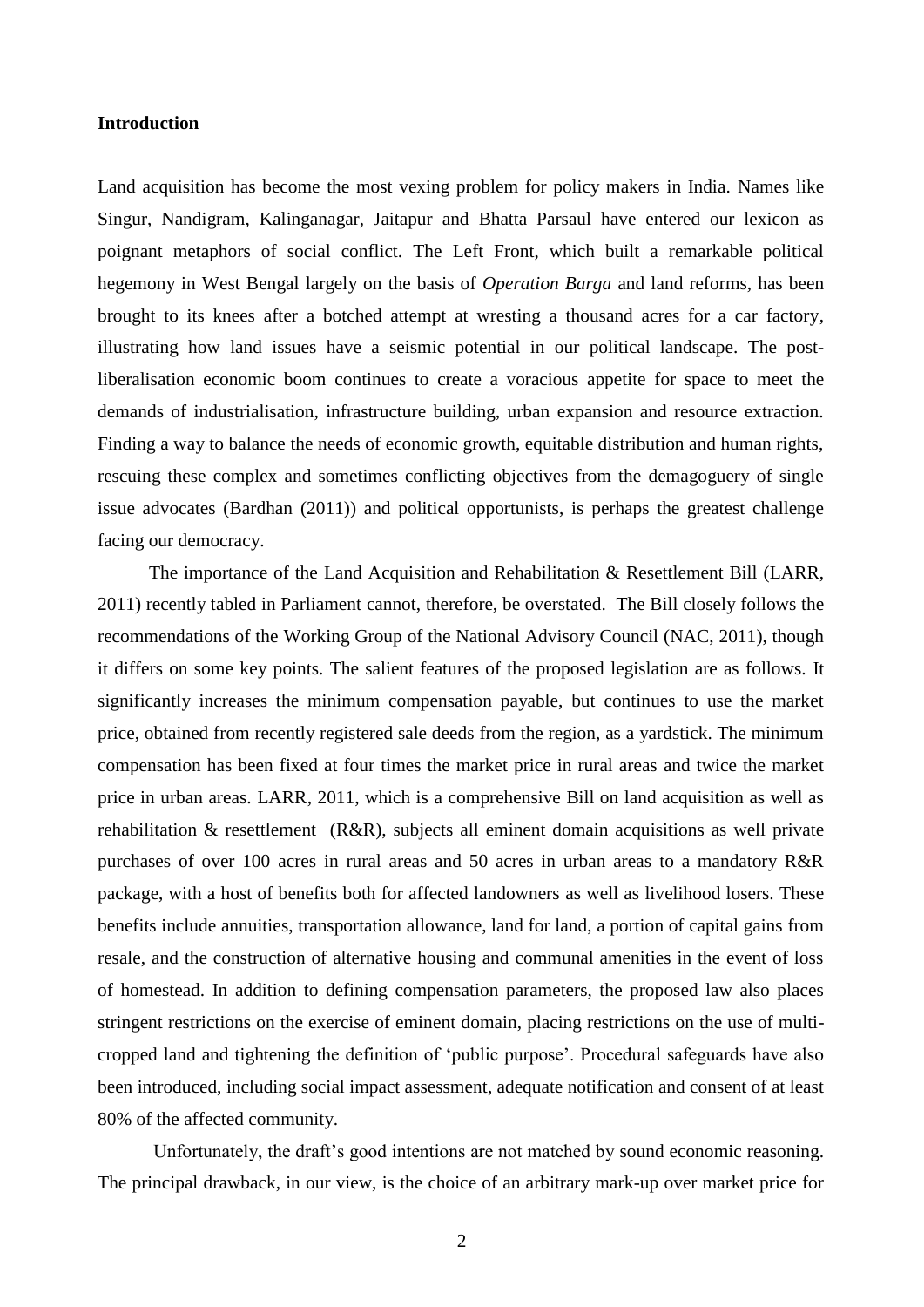#### **Introduction**

Land acquisition has become the most vexing problem for policy makers in India. Names like Singur, Nandigram, Kalinganagar, Jaitapur and Bhatta Parsaul have entered our lexicon as poignant metaphors of social conflict. The Left Front, which built a remarkable political hegemony in West Bengal largely on the basis of *Operation Barga* and land reforms, has been brought to its knees after a botched attempt at wresting a thousand acres for a car factory, illustrating how land issues have a seismic potential in our political landscape. The postliberalisation economic boom continues to create a voracious appetite for space to meet the demands of industrialisation, infrastructure building, urban expansion and resource extraction. Finding a way to balance the needs of economic growth, equitable distribution and human rights, rescuing these complex and sometimes conflicting objectives from the demagoguery of single issue advocates (Bardhan (2011)) and political opportunists, is perhaps the greatest challenge facing our democracy.

 The importance of the Land Acquisition and Rehabilitation & Resettlement Bill (LARR, 2011) recently tabled in Parliament cannot, therefore, be overstated. The Bill closely follows the recommendations of the Working Group of the National Advisory Council (NAC, 2011), though it differs on some key points. The salient features of the proposed legislation are as follows. It significantly increases the minimum compensation payable, but continues to use the market price, obtained from recently registered sale deeds from the region, as a yardstick. The minimum compensation has been fixed at four times the market price in rural areas and twice the market price in urban areas. LARR, 2011, which is a comprehensive Bill on land acquisition as well as rehabilitation & resettlement (R&R), subjects all eminent domain acquisitions as well private purchases of over 100 acres in rural areas and 50 acres in urban areas to a mandatory R&R package, with a host of benefits both for affected landowners as well as livelihood losers. These benefits include annuities, transportation allowance, land for land, a portion of capital gains from resale, and the construction of alternative housing and communal amenities in the event of loss of homestead. In addition to defining compensation parameters, the proposed law also places stringent restrictions on the exercise of eminent domain, placing restrictions on the use of multicropped land and tightening the definition of 'public purpose'. Procedural safeguards have also been introduced, including social impact assessment, adequate notification and consent of at least 80% of the affected community.

Unfortunately, the draft's good intentions are not matched by sound economic reasoning. The principal drawback, in our view, is the choice of an arbitrary mark-up over market price for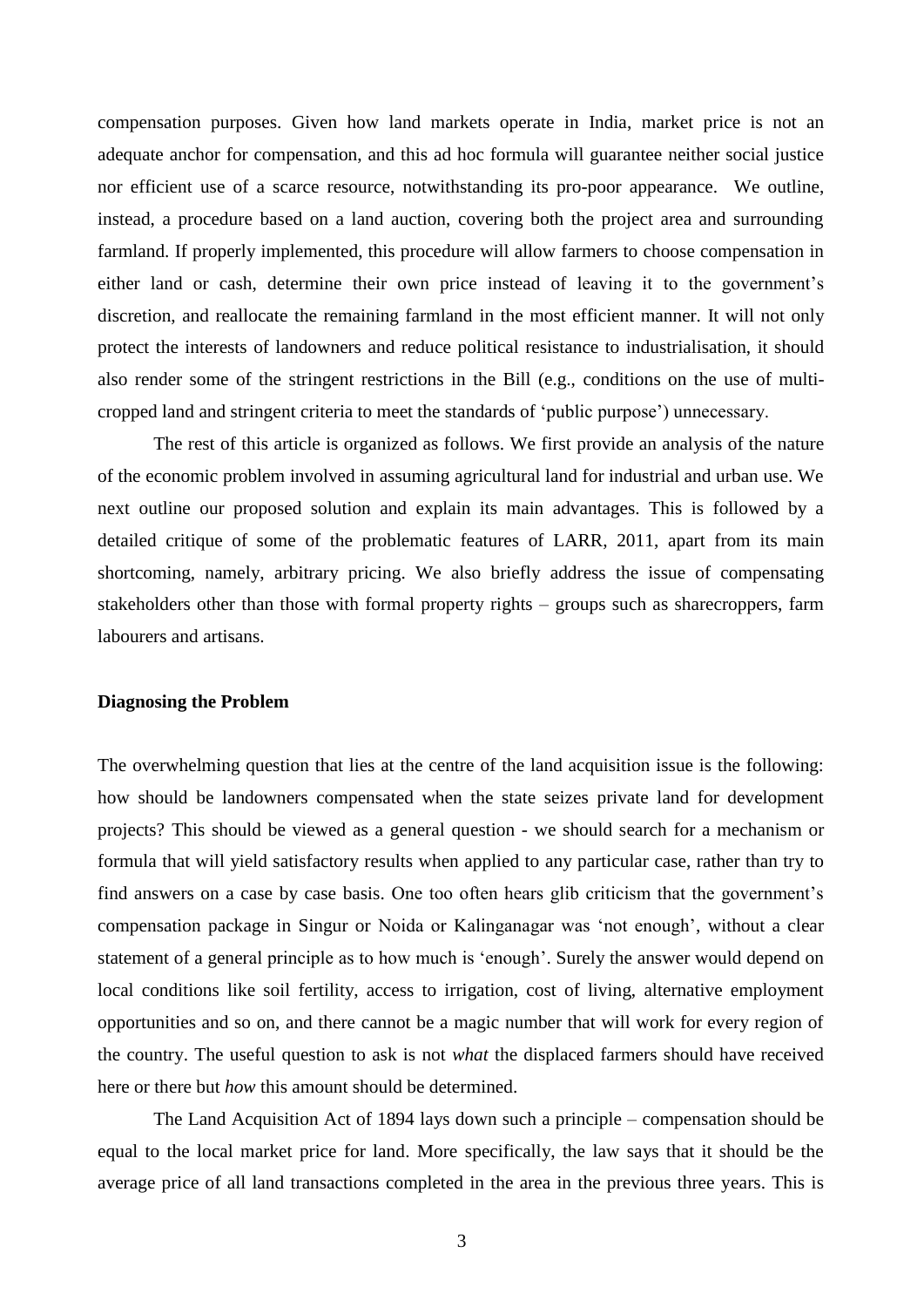compensation purposes. Given how land markets operate in India, market price is not an adequate anchor for compensation, and this ad hoc formula will guarantee neither social justice nor efficient use of a scarce resource, notwithstanding its pro-poor appearance. We outline, instead, a procedure based on a land auction, covering both the project area and surrounding farmland. If properly implemented, this procedure will allow farmers to choose compensation in either land or cash, determine their own price instead of leaving it to the government's discretion, and reallocate the remaining farmland in the most efficient manner. It will not only protect the interests of landowners and reduce political resistance to industrialisation, it should also render some of the stringent restrictions in the Bill (e.g., conditions on the use of multicropped land and stringent criteria to meet the standards of 'public purpose') unnecessary.

The rest of this article is organized as follows. We first provide an analysis of the nature of the economic problem involved in assuming agricultural land for industrial and urban use. We next outline our proposed solution and explain its main advantages. This is followed by a detailed critique of some of the problematic features of LARR, 2011, apart from its main shortcoming, namely, arbitrary pricing. We also briefly address the issue of compensating stakeholders other than those with formal property rights – groups such as sharecroppers, farm labourers and artisans.

#### **Diagnosing the Problem**

The overwhelming question that lies at the centre of the land acquisition issue is the following: how should be landowners compensated when the state seizes private land for development projects? This should be viewed as a general question - we should search for a mechanism or formula that will yield satisfactory results when applied to any particular case, rather than try to find answers on a case by case basis. One too often hears glib criticism that the government's compensation package in Singur or Noida or Kalinganagar was 'not enough', without a clear statement of a general principle as to how much is 'enough'. Surely the answer would depend on local conditions like soil fertility, access to irrigation, cost of living, alternative employment opportunities and so on, and there cannot be a magic number that will work for every region of the country. The useful question to ask is not *what* the displaced farmers should have received here or there but *how* this amount should be determined.

The Land Acquisition Act of 1894 lays down such a principle – compensation should be equal to the local market price for land. More specifically, the law says that it should be the average price of all land transactions completed in the area in the previous three years. This is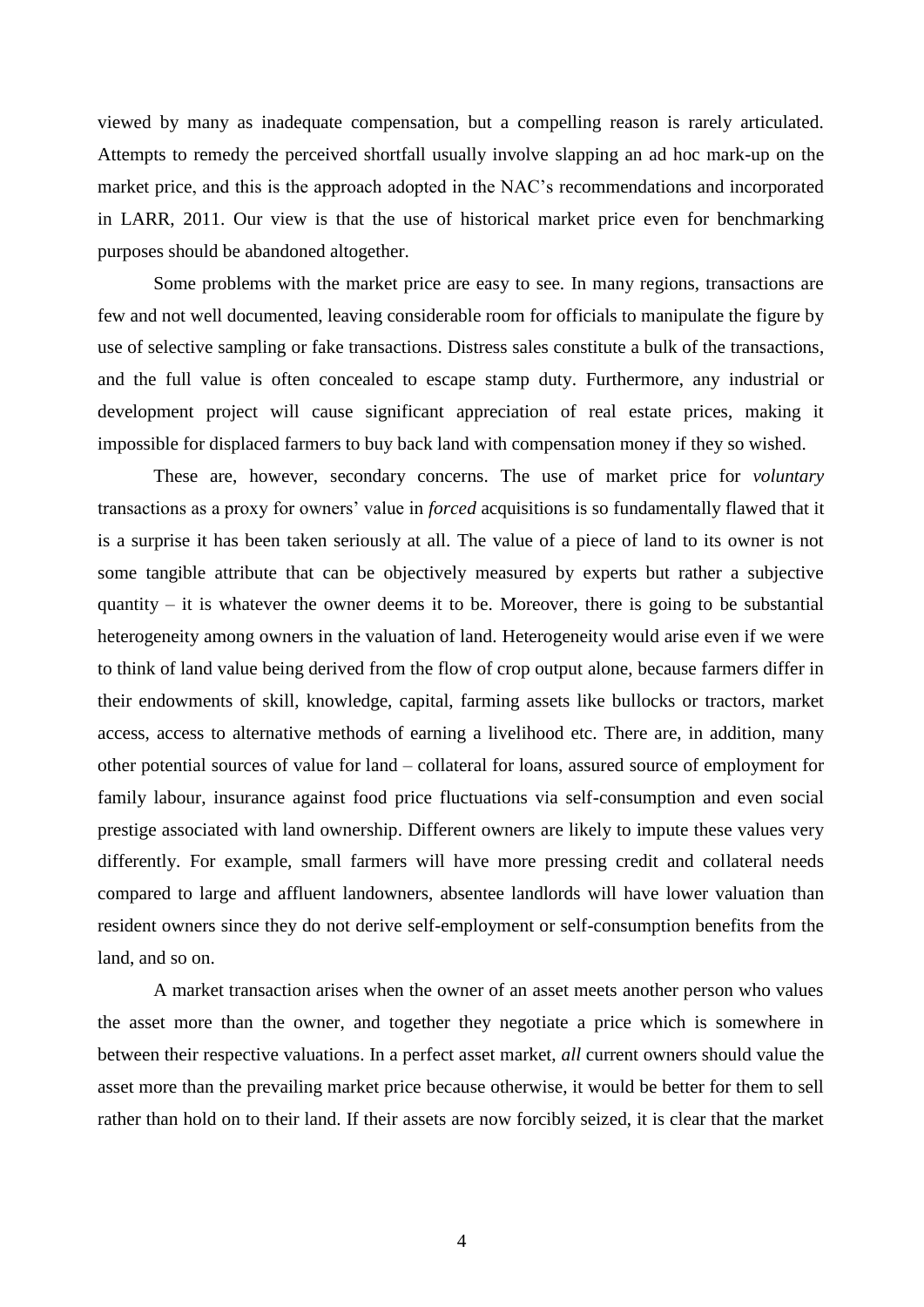viewed by many as inadequate compensation, but a compelling reason is rarely articulated. Attempts to remedy the perceived shortfall usually involve slapping an ad hoc mark-up on the market price, and this is the approach adopted in the NAC's recommendations and incorporated in LARR, 2011. Our view is that the use of historical market price even for benchmarking purposes should be abandoned altogether.

Some problems with the market price are easy to see. In many regions, transactions are few and not well documented, leaving considerable room for officials to manipulate the figure by use of selective sampling or fake transactions. Distress sales constitute a bulk of the transactions, and the full value is often concealed to escape stamp duty. Furthermore, any industrial or development project will cause significant appreciation of real estate prices, making it impossible for displaced farmers to buy back land with compensation money if they so wished.

These are, however, secondary concerns. The use of market price for *voluntary* transactions as a proxy for owners' value in *forced* acquisitions is so fundamentally flawed that it is a surprise it has been taken seriously at all. The value of a piece of land to its owner is not some tangible attribute that can be objectively measured by experts but rather a subjective quantity – it is whatever the owner deems it to be. Moreover, there is going to be substantial heterogeneity among owners in the valuation of land. Heterogeneity would arise even if we were to think of land value being derived from the flow of crop output alone, because farmers differ in their endowments of skill, knowledge, capital, farming assets like bullocks or tractors, market access, access to alternative methods of earning a livelihood etc. There are, in addition, many other potential sources of value for land – collateral for loans, assured source of employment for family labour, insurance against food price fluctuations via self-consumption and even social prestige associated with land ownership. Different owners are likely to impute these values very differently. For example, small farmers will have more pressing credit and collateral needs compared to large and affluent landowners, absentee landlords will have lower valuation than resident owners since they do not derive self-employment or self-consumption benefits from the land, and so on.

A market transaction arises when the owner of an asset meets another person who values the asset more than the owner, and together they negotiate a price which is somewhere in between their respective valuations. In a perfect asset market, *all* current owners should value the asset more than the prevailing market price because otherwise, it would be better for them to sell rather than hold on to their land. If their assets are now forcibly seized, it is clear that the market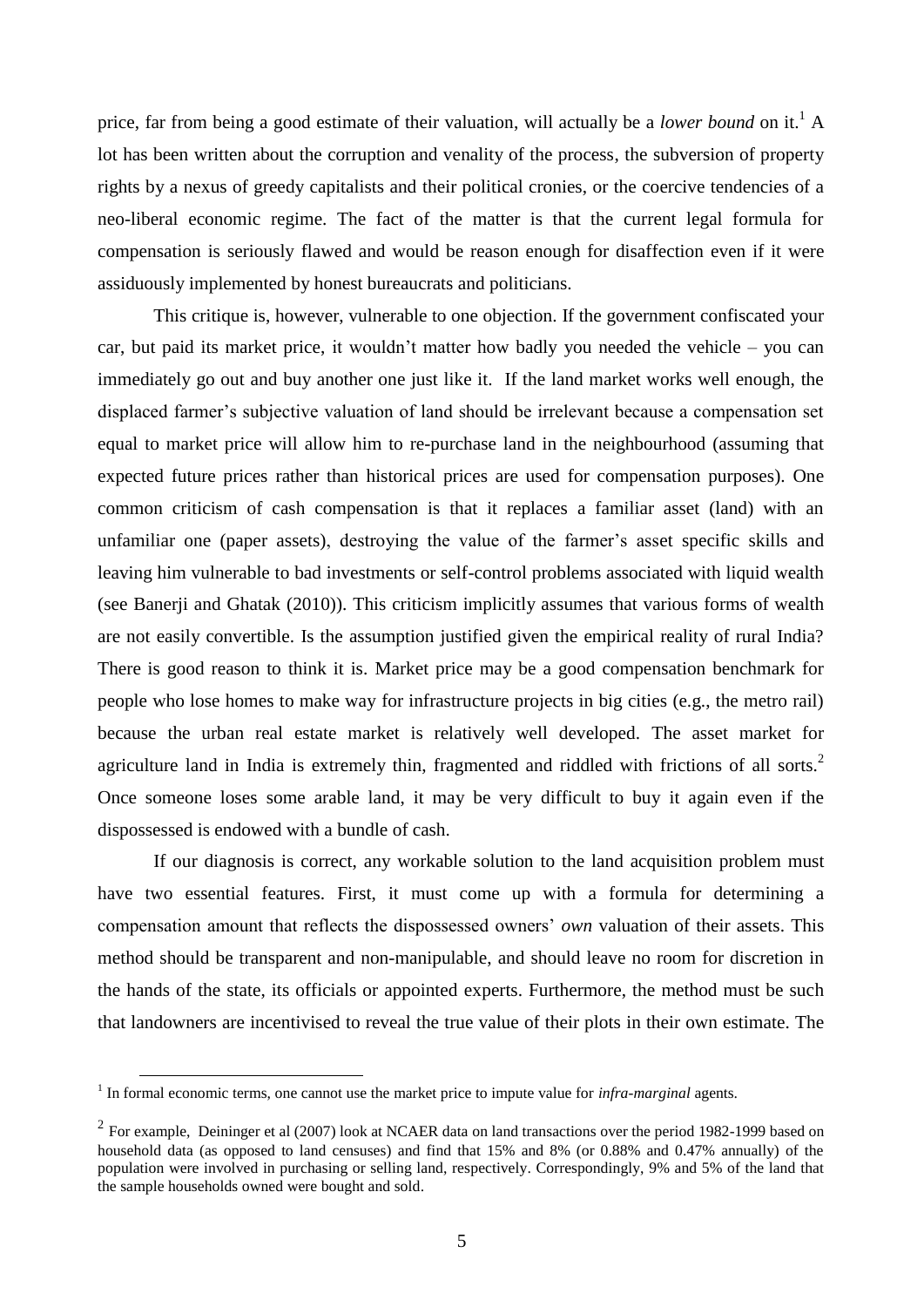price, far from being a good estimate of their valuation, will actually be a *lower bound* on it.<sup>1</sup> A lot has been written about the corruption and venality of the process, the subversion of property rights by a nexus of greedy capitalists and their political cronies, or the coercive tendencies of a neo-liberal economic regime. The fact of the matter is that the current legal formula for compensation is seriously flawed and would be reason enough for disaffection even if it were assiduously implemented by honest bureaucrats and politicians.

This critique is, however, vulnerable to one objection. If the government confiscated your car, but paid its market price, it wouldn't matter how badly you needed the vehicle – you can immediately go out and buy another one just like it. If the land market works well enough, the displaced farmer's subjective valuation of land should be irrelevant because a compensation set equal to market price will allow him to re-purchase land in the neighbourhood (assuming that expected future prices rather than historical prices are used for compensation purposes). One common criticism of cash compensation is that it replaces a familiar asset (land) with an unfamiliar one (paper assets), destroying the value of the farmer's asset specific skills and leaving him vulnerable to bad investments or self-control problems associated with liquid wealth (see Banerji and Ghatak (2010)). This criticism implicitly assumes that various forms of wealth are not easily convertible. Is the assumption justified given the empirical reality of rural India? There is good reason to think it is. Market price may be a good compensation benchmark for people who lose homes to make way for infrastructure projects in big cities (e.g., the metro rail) because the urban real estate market is relatively well developed. The asset market for agriculture land in India is extremely thin, fragmented and riddled with frictions of all sorts.<sup>2</sup> Once someone loses some arable land, it may be very difficult to buy it again even if the dispossessed is endowed with a bundle of cash.

If our diagnosis is correct, any workable solution to the land acquisition problem must have two essential features. First, it must come up with a formula for determining a compensation amount that reflects the dispossessed owners' *own* valuation of their assets. This method should be transparent and non-manipulable, and should leave no room for discretion in the hands of the state, its officials or appointed experts. Furthermore, the method must be such that landowners are incentivised to reveal the true value of their plots in their own estimate. The

<sup>&</sup>lt;sup>1</sup> In formal economic terms, one cannot use the market price to impute value for *infra-marginal* agents.

 $2^2$  For example, Deininger et al (2007) look at NCAER data on land transactions over the period 1982-1999 based on household data (as opposed to land censuses) and find that 15% and 8% (or 0.88% and 0.47% annually) of the population were involved in purchasing or selling land, respectively. Correspondingly, 9% and 5% of the land that the sample households owned were bought and sold.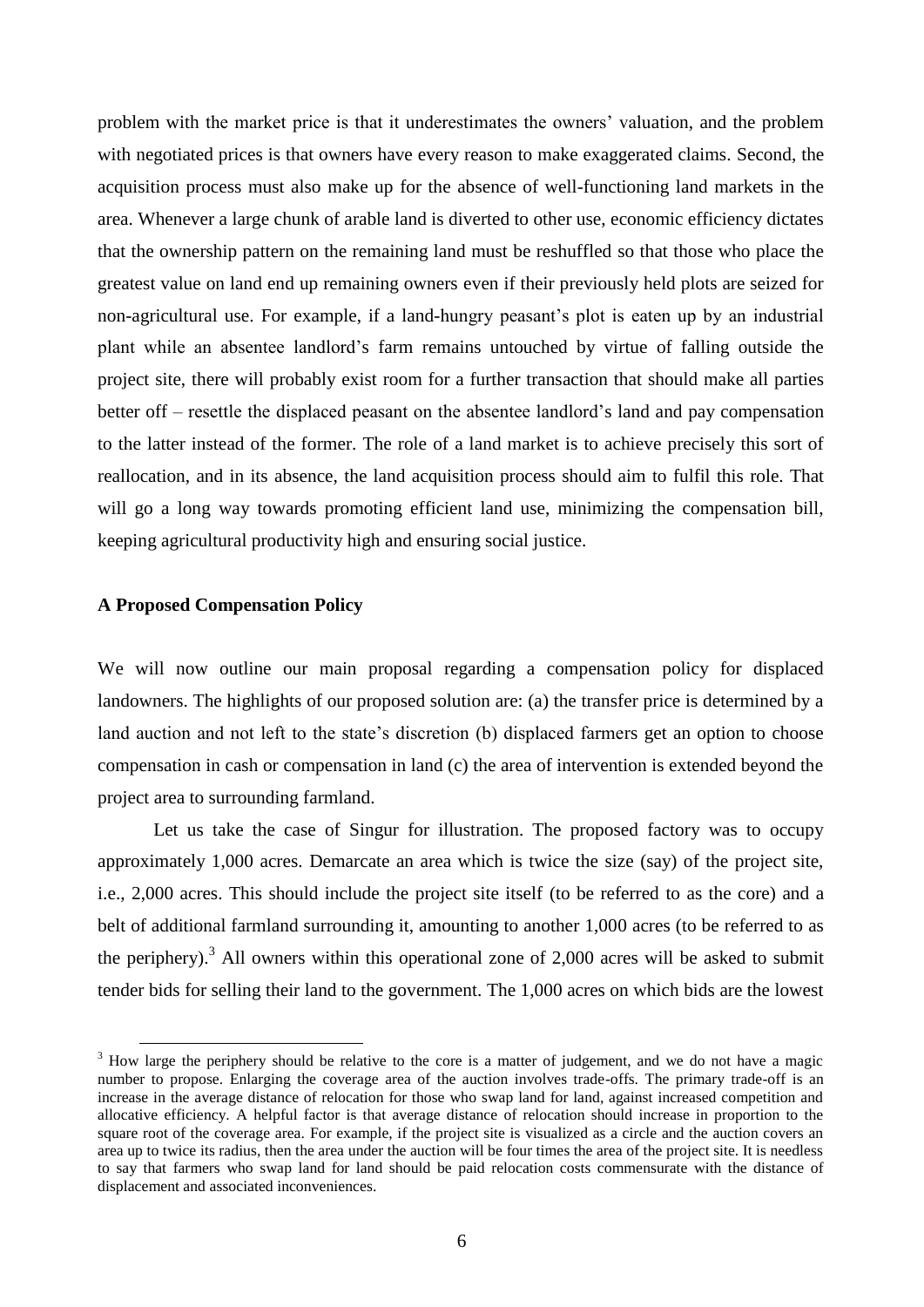problem with the market price is that it underestimates the owners' valuation, and the problem with negotiated prices is that owners have every reason to make exaggerated claims. Second, the acquisition process must also make up for the absence of well-functioning land markets in the area. Whenever a large chunk of arable land is diverted to other use, economic efficiency dictates that the ownership pattern on the remaining land must be reshuffled so that those who place the greatest value on land end up remaining owners even if their previously held plots are seized for non-agricultural use. For example, if a land-hungry peasant's plot is eaten up by an industrial plant while an absentee landlord's farm remains untouched by virtue of falling outside the project site, there will probably exist room for a further transaction that should make all parties better off – resettle the displaced peasant on the absentee landlord's land and pay compensation to the latter instead of the former. The role of a land market is to achieve precisely this sort of reallocation, and in its absence, the land acquisition process should aim to fulfil this role. That will go a long way towards promoting efficient land use, minimizing the compensation bill, keeping agricultural productivity high and ensuring social justice.

### **A Proposed Compensation Policy**

1

We will now outline our main proposal regarding a compensation policy for displaced landowners. The highlights of our proposed solution are: (a) the transfer price is determined by a land auction and not left to the state's discretion (b) displaced farmers get an option to choose compensation in cash or compensation in land (c) the area of intervention is extended beyond the project area to surrounding farmland.

Let us take the case of Singur for illustration. The proposed factory was to occupy approximately 1,000 acres. Demarcate an area which is twice the size (say) of the project site, i.e., 2,000 acres. This should include the project site itself (to be referred to as the core) and a belt of additional farmland surrounding it, amounting to another 1,000 acres (to be referred to as the periphery).<sup>3</sup> All owners within this operational zone of 2,000 acres will be asked to submit tender bids for selling their land to the government. The 1,000 acres on which bids are the lowest

 $3$  How large the periphery should be relative to the core is a matter of judgement, and we do not have a magic number to propose. Enlarging the coverage area of the auction involves trade-offs. The primary trade-off is an increase in the average distance of relocation for those who swap land for land, against increased competition and allocative efficiency. A helpful factor is that average distance of relocation should increase in proportion to the square root of the coverage area. For example, if the project site is visualized as a circle and the auction covers an area up to twice its radius, then the area under the auction will be four times the area of the project site. It is needless to say that farmers who swap land for land should be paid relocation costs commensurate with the distance of displacement and associated inconveniences.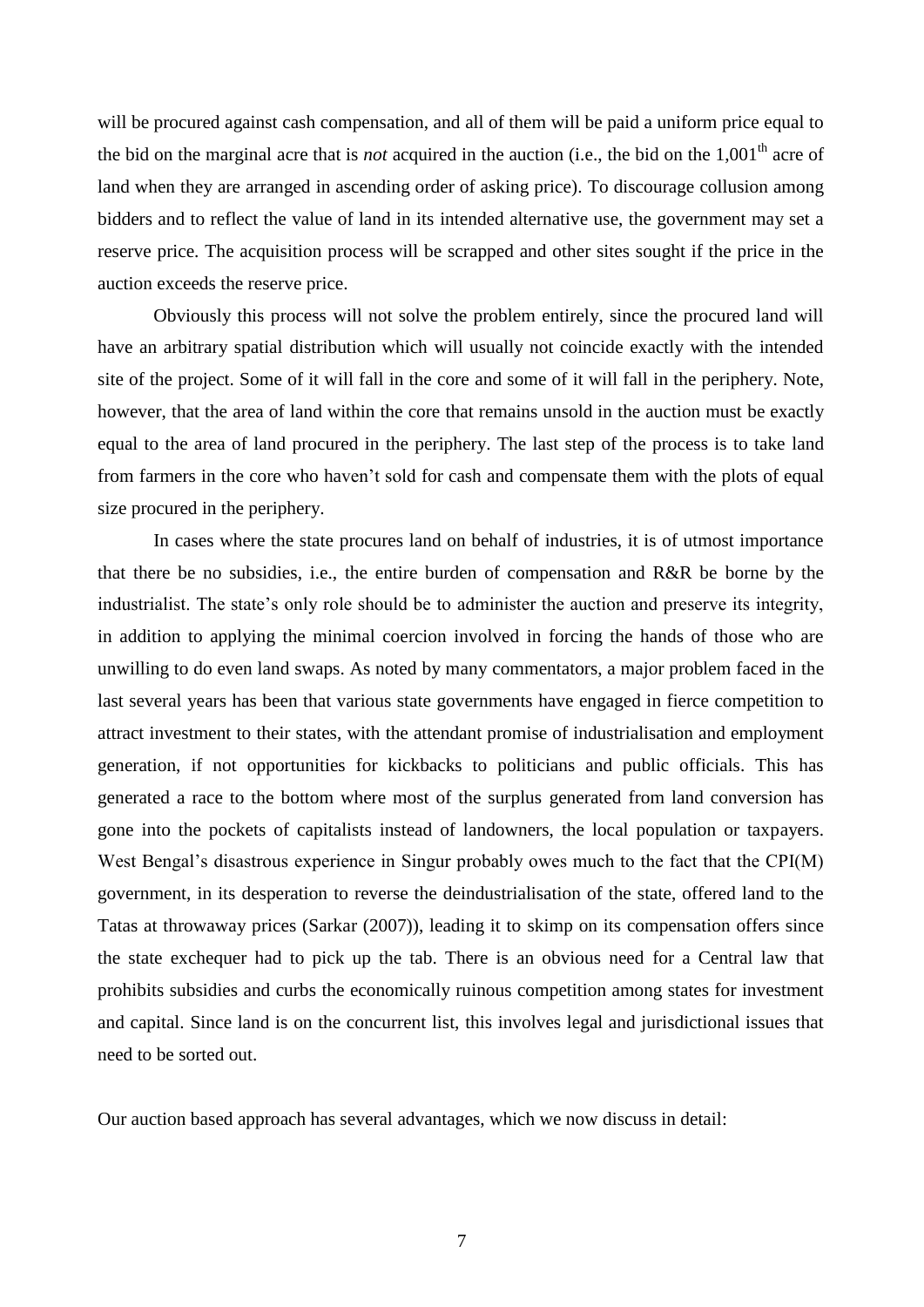will be procured against cash compensation, and all of them will be paid a uniform price equal to the bid on the marginal acre that is *not* acquired in the auction (i.e., the bid on the  $1,001<sup>th</sup>$  acre of land when they are arranged in ascending order of asking price). To discourage collusion among bidders and to reflect the value of land in its intended alternative use, the government may set a reserve price. The acquisition process will be scrapped and other sites sought if the price in the auction exceeds the reserve price.

Obviously this process will not solve the problem entirely, since the procured land will have an arbitrary spatial distribution which will usually not coincide exactly with the intended site of the project. Some of it will fall in the core and some of it will fall in the periphery. Note, however, that the area of land within the core that remains unsold in the auction must be exactly equal to the area of land procured in the periphery. The last step of the process is to take land from farmers in the core who haven't sold for cash and compensate them with the plots of equal size procured in the periphery.

In cases where the state procures land on behalf of industries, it is of utmost importance that there be no subsidies, i.e., the entire burden of compensation and R&R be borne by the industrialist. The state's only role should be to administer the auction and preserve its integrity, in addition to applying the minimal coercion involved in forcing the hands of those who are unwilling to do even land swaps. As noted by many commentators, a major problem faced in the last several years has been that various state governments have engaged in fierce competition to attract investment to their states, with the attendant promise of industrialisation and employment generation, if not opportunities for kickbacks to politicians and public officials. This has generated a race to the bottom where most of the surplus generated from land conversion has gone into the pockets of capitalists instead of landowners, the local population or taxpayers. West Bengal's disastrous experience in Singur probably owes much to the fact that the CPI(M) government, in its desperation to reverse the deindustrialisation of the state, offered land to the Tatas at throwaway prices (Sarkar (2007)), leading it to skimp on its compensation offers since the state exchequer had to pick up the tab. There is an obvious need for a Central law that prohibits subsidies and curbs the economically ruinous competition among states for investment and capital. Since land is on the concurrent list, this involves legal and jurisdictional issues that need to be sorted out.

Our auction based approach has several advantages, which we now discuss in detail: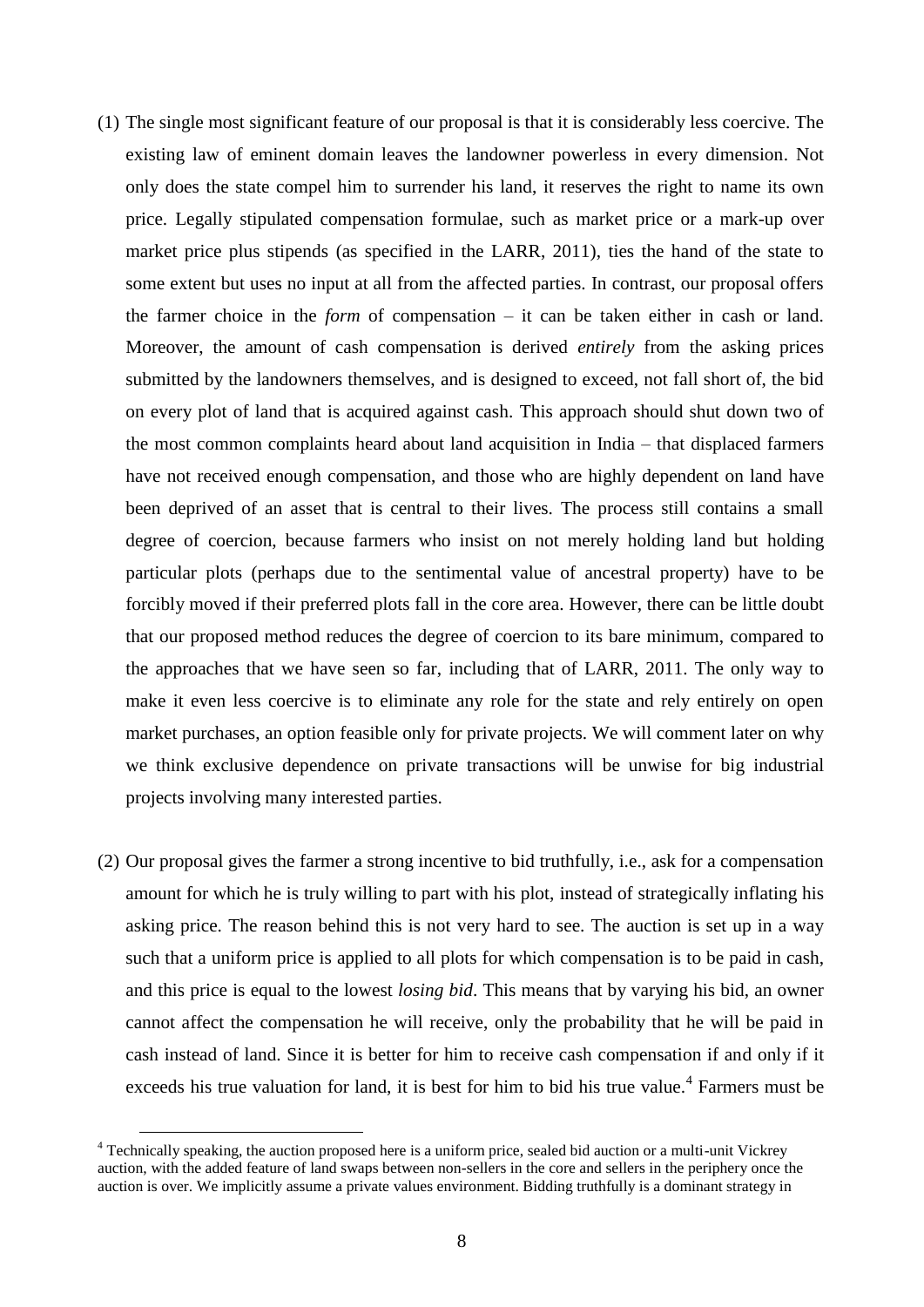- (1) The single most significant feature of our proposal is that it is considerably less coercive. The existing law of eminent domain leaves the landowner powerless in every dimension. Not only does the state compel him to surrender his land, it reserves the right to name its own price. Legally stipulated compensation formulae, such as market price or a mark-up over market price plus stipends (as specified in the LARR, 2011), ties the hand of the state to some extent but uses no input at all from the affected parties. In contrast, our proposal offers the farmer choice in the *form* of compensation – it can be taken either in cash or land. Moreover, the amount of cash compensation is derived *entirely* from the asking prices submitted by the landowners themselves, and is designed to exceed, not fall short of, the bid on every plot of land that is acquired against cash. This approach should shut down two of the most common complaints heard about land acquisition in India – that displaced farmers have not received enough compensation, and those who are highly dependent on land have been deprived of an asset that is central to their lives. The process still contains a small degree of coercion, because farmers who insist on not merely holding land but holding particular plots (perhaps due to the sentimental value of ancestral property) have to be forcibly moved if their preferred plots fall in the core area. However, there can be little doubt that our proposed method reduces the degree of coercion to its bare minimum, compared to the approaches that we have seen so far, including that of LARR, 2011. The only way to make it even less coercive is to eliminate any role for the state and rely entirely on open market purchases, an option feasible only for private projects. We will comment later on why we think exclusive dependence on private transactions will be unwise for big industrial projects involving many interested parties.
- (2) Our proposal gives the farmer a strong incentive to bid truthfully, i.e., ask for a compensation amount for which he is truly willing to part with his plot, instead of strategically inflating his asking price. The reason behind this is not very hard to see. The auction is set up in a way such that a uniform price is applied to all plots for which compensation is to be paid in cash, and this price is equal to the lowest *losing bid*. This means that by varying his bid, an owner cannot affect the compensation he will receive, only the probability that he will be paid in cash instead of land. Since it is better for him to receive cash compensation if and only if it exceeds his true valuation for land, it is best for him to bid his true value.<sup>4</sup> Farmers must be

<u>.</u>

<sup>&</sup>lt;sup>4</sup> Technically speaking, the auction proposed here is a uniform price, sealed bid auction or a multi-unit Vickrey auction, with the added feature of land swaps between non-sellers in the core and sellers in the periphery once the auction is over. We implicitly assume a private values environment. Bidding truthfully is a dominant strategy in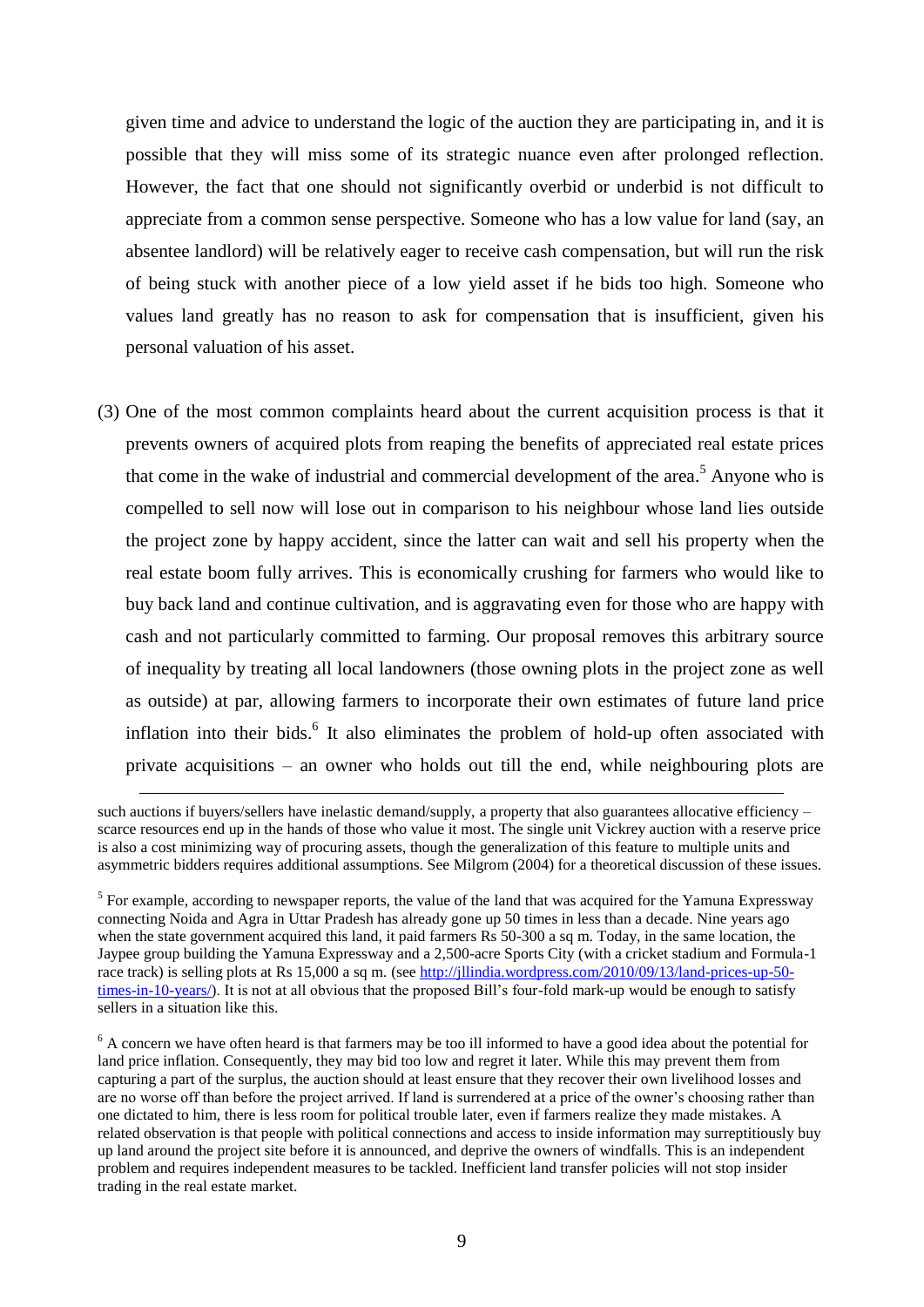given time and advice to understand the logic of the auction they are participating in, and it is possible that they will miss some of its strategic nuance even after prolonged reflection. However, the fact that one should not significantly overbid or underbid is not difficult to appreciate from a common sense perspective. Someone who has a low value for land (say, an absentee landlord) will be relatively eager to receive cash compensation, but will run the risk of being stuck with another piece of a low yield asset if he bids too high. Someone who values land greatly has no reason to ask for compensation that is insufficient, given his personal valuation of his asset.

(3) One of the most common complaints heard about the current acquisition process is that it prevents owners of acquired plots from reaping the benefits of appreciated real estate prices that come in the wake of industrial and commercial development of the area.<sup>5</sup> Anyone who is compelled to sell now will lose out in comparison to his neighbour whose land lies outside the project zone by happy accident, since the latter can wait and sell his property when the real estate boom fully arrives. This is economically crushing for farmers who would like to buy back land and continue cultivation, and is aggravating even for those who are happy with cash and not particularly committed to farming. Our proposal removes this arbitrary source of inequality by treating all local landowners (those owning plots in the project zone as well as outside) at par, allowing farmers to incorporate their own estimates of future land price inflation into their bids.<sup>6</sup> It also eliminates the problem of hold-up often associated with private acquisitions – an owner who holds out till the end, while neighbouring plots are

such auctions if buyers/sellers have inelastic demand/supply, a property that also guarantees allocative efficiency – scarce resources end up in the hands of those who value it most. The single unit Vickrey auction with a reserve price is also a cost minimizing way of procuring assets, though the generalization of this feature to multiple units and asymmetric bidders requires additional assumptions. See Milgrom (2004) for a theoretical discussion of these issues.

 $<sup>5</sup>$  For example, according to newspaper reports, the value of the land that was acquired for the Yamuna Expressway</sup> connecting Noida and Agra in Uttar Pradesh has already gone up 50 times in less than a decade. Nine years ago when the state government acquired this land, it paid farmers Rs 50-300 a sq m. Today, in the same location, the Jaypee group building the Yamuna Expressway and a 2,500-acre Sports City (with a cricket stadium and Formula-1 race track) is selling plots at Rs 15,000 a sq m. (se[e http://jllindia.wordpress.com/2010/09/13/land-prices-up-50](http://jllindia.wordpress.com/2010/09/13/land-prices-up-50-times-in-10-years/) [times-in-10-years/\)](http://jllindia.wordpress.com/2010/09/13/land-prices-up-50-times-in-10-years/). It is not at all obvious that the proposed Bill's four-fold mark-up would be enough to satisfy sellers in a situation like this.

 $6$  A concern we have often heard is that farmers may be too ill informed to have a good idea about the potential for land price inflation. Consequently, they may bid too low and regret it later. While this may prevent them from capturing a part of the surplus, the auction should at least ensure that they recover their own livelihood losses and are no worse off than before the project arrived. If land is surrendered at a price of the owner's choosing rather than one dictated to him, there is less room for political trouble later, even if farmers realize they made mistakes. A related observation is that people with political connections and access to inside information may surreptitiously buy up land around the project site before it is announced, and deprive the owners of windfalls. This is an independent problem and requires independent measures to be tackled. Inefficient land transfer policies will not stop insider trading in the real estate market.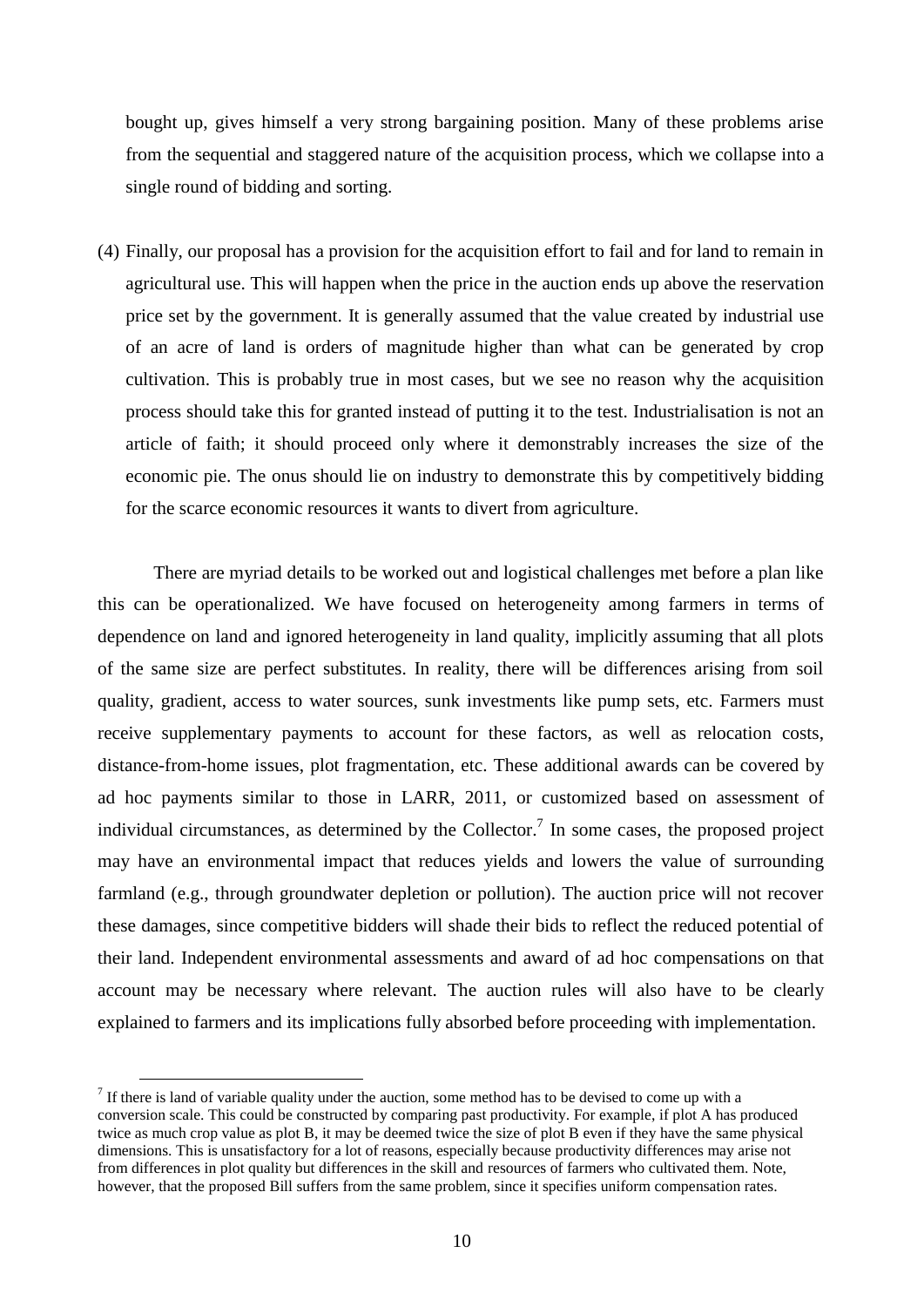bought up, gives himself a very strong bargaining position. Many of these problems arise from the sequential and staggered nature of the acquisition process, which we collapse into a single round of bidding and sorting.

(4) Finally, our proposal has a provision for the acquisition effort to fail and for land to remain in agricultural use. This will happen when the price in the auction ends up above the reservation price set by the government. It is generally assumed that the value created by industrial use of an acre of land is orders of magnitude higher than what can be generated by crop cultivation. This is probably true in most cases, but we see no reason why the acquisition process should take this for granted instead of putting it to the test. Industrialisation is not an article of faith; it should proceed only where it demonstrably increases the size of the economic pie. The onus should lie on industry to demonstrate this by competitively bidding for the scarce economic resources it wants to divert from agriculture.

There are myriad details to be worked out and logistical challenges met before a plan like this can be operationalized. We have focused on heterogeneity among farmers in terms of dependence on land and ignored heterogeneity in land quality, implicitly assuming that all plots of the same size are perfect substitutes. In reality, there will be differences arising from soil quality, gradient, access to water sources, sunk investments like pump sets, etc. Farmers must receive supplementary payments to account for these factors, as well as relocation costs, distance-from-home issues, plot fragmentation, etc. These additional awards can be covered by ad hoc payments similar to those in LARR, 2011, or customized based on assessment of individual circumstances, as determined by the Collector.<sup>7</sup> In some cases, the proposed project may have an environmental impact that reduces yields and lowers the value of surrounding farmland (e.g., through groundwater depletion or pollution). The auction price will not recover these damages, since competitive bidders will shade their bids to reflect the reduced potential of their land. Independent environmental assessments and award of ad hoc compensations on that account may be necessary where relevant. The auction rules will also have to be clearly explained to farmers and its implications fully absorbed before proceeding with implementation.

 $<sup>7</sup>$  If there is land of variable quality under the auction, some method has to be devised to come up with a</sup> conversion scale. This could be constructed by comparing past productivity. For example, if plot A has produced twice as much crop value as plot B, it may be deemed twice the size of plot B even if they have the same physical dimensions. This is unsatisfactory for a lot of reasons, especially because productivity differences may arise not from differences in plot quality but differences in the skill and resources of farmers who cultivated them. Note, however, that the proposed Bill suffers from the same problem, since it specifies uniform compensation rates.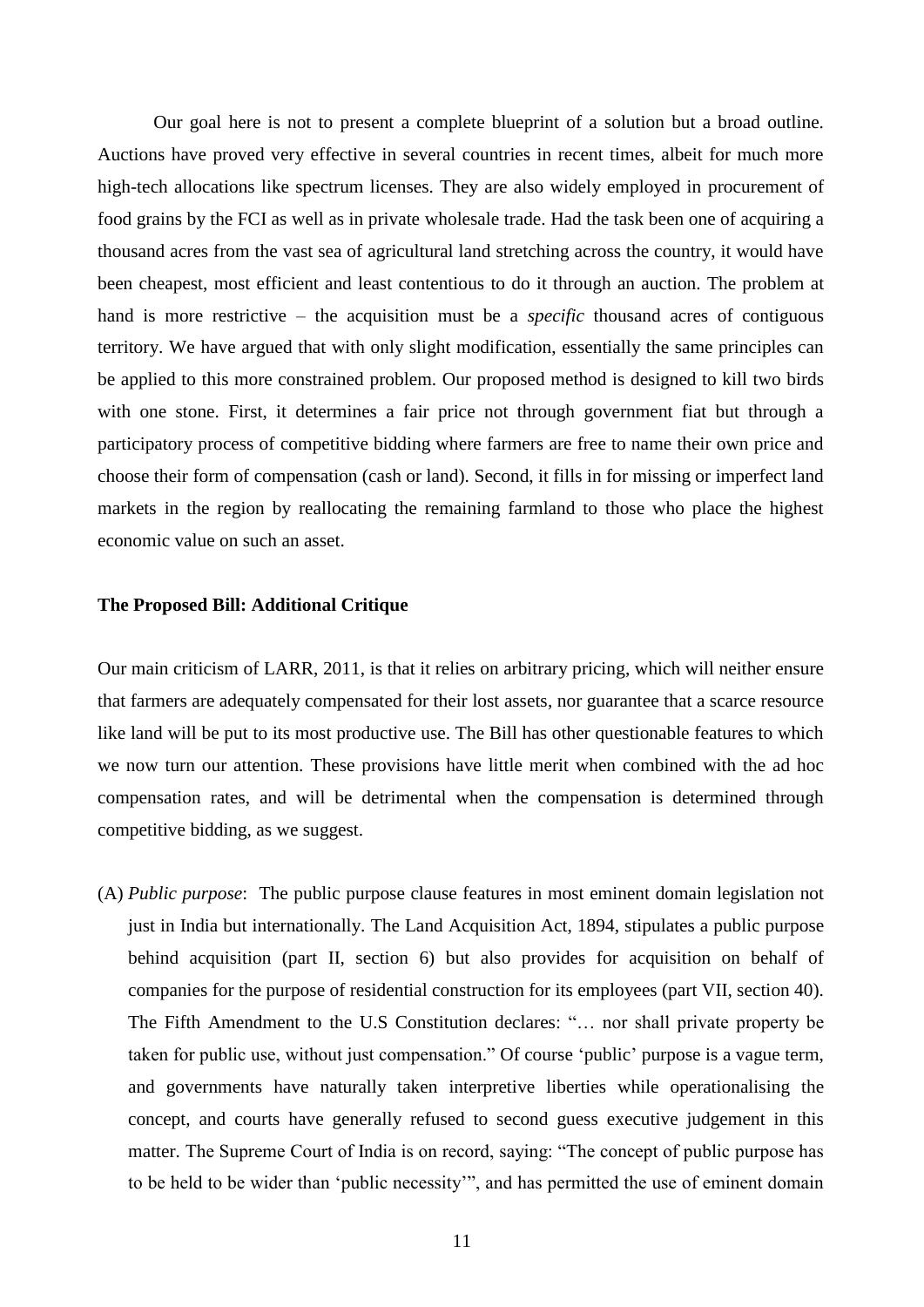Our goal here is not to present a complete blueprint of a solution but a broad outline. Auctions have proved very effective in several countries in recent times, albeit for much more high-tech allocations like spectrum licenses. They are also widely employed in procurement of food grains by the FCI as well as in private wholesale trade. Had the task been one of acquiring a thousand acres from the vast sea of agricultural land stretching across the country, it would have been cheapest, most efficient and least contentious to do it through an auction. The problem at hand is more restrictive – the acquisition must be a *specific* thousand acres of contiguous territory. We have argued that with only slight modification, essentially the same principles can be applied to this more constrained problem. Our proposed method is designed to kill two birds with one stone. First, it determines a fair price not through government fiat but through a participatory process of competitive bidding where farmers are free to name their own price and choose their form of compensation (cash or land). Second, it fills in for missing or imperfect land markets in the region by reallocating the remaining farmland to those who place the highest economic value on such an asset.

#### **The Proposed Bill: Additional Critique**

Our main criticism of LARR, 2011, is that it relies on arbitrary pricing, which will neither ensure that farmers are adequately compensated for their lost assets, nor guarantee that a scarce resource like land will be put to its most productive use. The Bill has other questionable features to which we now turn our attention. These provisions have little merit when combined with the ad hoc compensation rates, and will be detrimental when the compensation is determined through competitive bidding, as we suggest.

(A) *Public purpose*: The public purpose clause features in most eminent domain legislation not just in India but internationally. The Land Acquisition Act, 1894, stipulates a public purpose behind acquisition (part II, section 6) but also provides for acquisition on behalf of companies for the purpose of residential construction for its employees (part VII, section 40). The Fifth Amendment to the U.S Constitution declares: "… nor shall private property be taken for public use, without just compensation." Of course 'public' purpose is a vague term, and governments have naturally taken interpretive liberties while operationalising the concept, and courts have generally refused to second guess executive judgement in this matter. The Supreme Court of India is on record, saying: "The concept of public purpose has to be held to be wider than 'public necessity'", and has permitted the use of eminent domain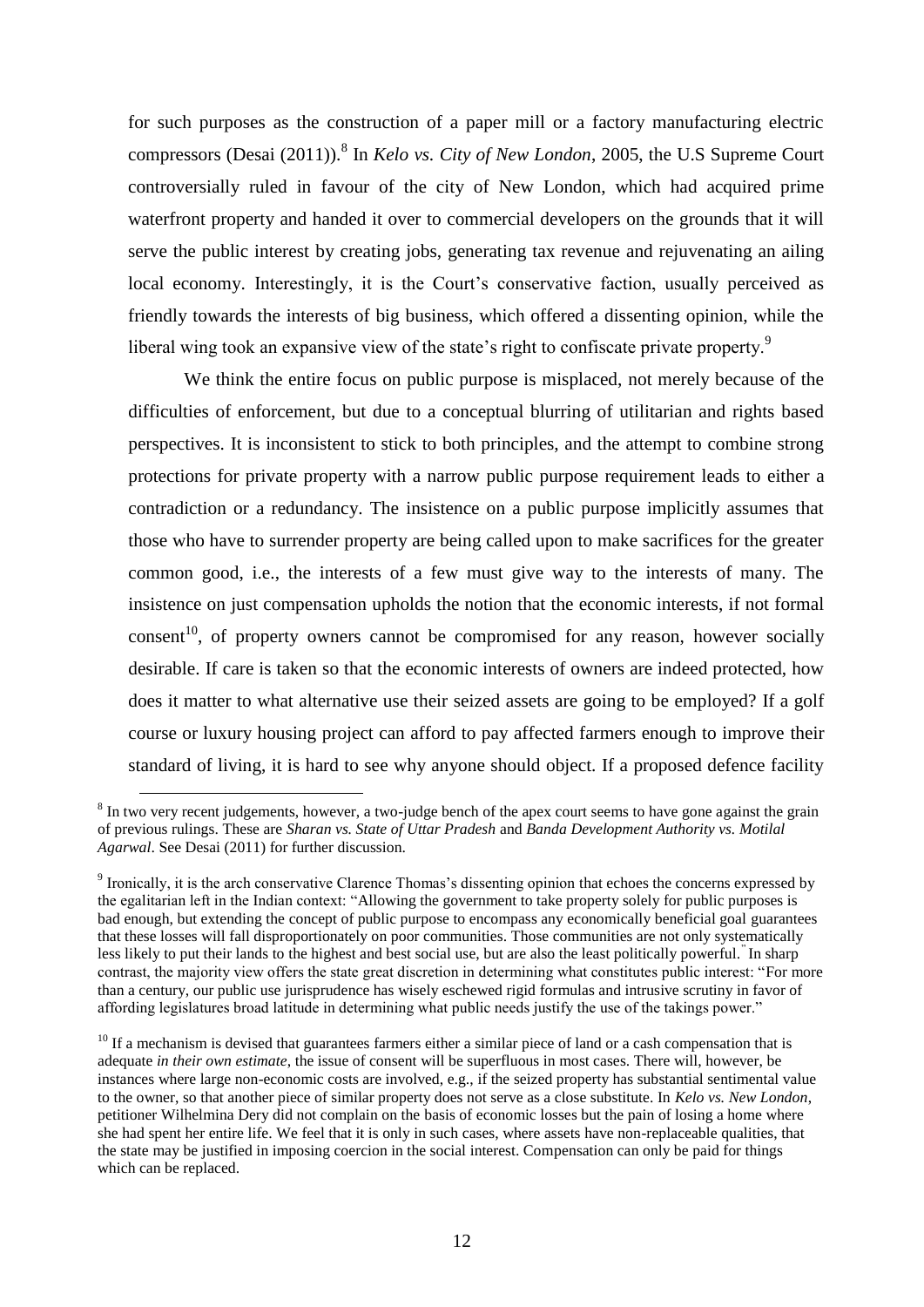for such purposes as the construction of a paper mill or a factory manufacturing electric compressors (Desai (2011)).<sup>8</sup> In *Kelo vs. City of New London*, 2005, the U.S Supreme Court controversially ruled in favour of the city of New London, which had acquired prime waterfront property and handed it over to commercial developers on the grounds that it will serve the public interest by creating jobs, generating tax revenue and rejuvenating an ailing local economy. Interestingly, it is the Court's conservative faction, usually perceived as friendly towards the interests of big business, which offered a dissenting opinion, while the liberal wing took an expansive view of the state's right to confiscate private property.<sup>9</sup>

We think the entire focus on public purpose is misplaced, not merely because of the difficulties of enforcement, but due to a conceptual blurring of utilitarian and rights based perspectives. It is inconsistent to stick to both principles, and the attempt to combine strong protections for private property with a narrow public purpose requirement leads to either a contradiction or a redundancy. The insistence on a public purpose implicitly assumes that those who have to surrender property are being called upon to make sacrifices for the greater common good, i.e., the interests of a few must give way to the interests of many. The insistence on just compensation upholds the notion that the economic interests, if not formal consent<sup>10</sup>, of property owners cannot be compromised for any reason, however socially desirable. If care is taken so that the economic interests of owners are indeed protected, how does it matter to what alternative use their seized assets are going to be employed? If a golf course or luxury housing project can afford to pay affected farmers enough to improve their standard of living, it is hard to see why anyone should object. If a proposed defence facility

 $8$  In two very recent judgements, however, a two-judge bench of the apex court seems to have gone against the grain of previous rulings. These are *Sharan vs. State of Uttar Pradesh* and *Banda Development Authority vs. Motilal Agarwal*. See Desai (2011) for further discussion.

<sup>&</sup>lt;sup>9</sup> Ironically, it is the arch conservative Clarence Thomas's dissenting opinion that echoes the concerns expressed by the egalitarian left in the Indian context: "Allowing the government to take property solely for public purposes is bad enough, but extending the concept of public purpose to encompass any economically beneficial goal guarantees that these losses will fall disproportionately on poor communities. Those communities are not only systematically less likely to put their lands to the highest and best social use, but are also the least politically powerful." In sharp contrast, the majority view offers the state great discretion in determining what constitutes public interest: "For more than a century, our public use jurisprudence has wisely eschewed rigid formulas and intrusive scrutiny in favor of affording legislatures broad latitude in determining what public needs justify the use of the takings power."

 $10$  If a mechanism is devised that guarantees farmers either a similar piece of land or a cash compensation that is adequate *in their own estimate*, the issue of consent will be superfluous in most cases. There will, however, be instances where large non-economic costs are involved, e.g., if the seized property has substantial sentimental value to the owner, so that another piece of similar property does not serve as a close substitute. In *Kelo vs. New London*, petitioner Wilhelmina Dery did not complain on the basis of economic losses but the pain of losing a home where she had spent her entire life. We feel that it is only in such cases, where assets have non-replaceable qualities, that the state may be justified in imposing coercion in the social interest. Compensation can only be paid for things which can be replaced.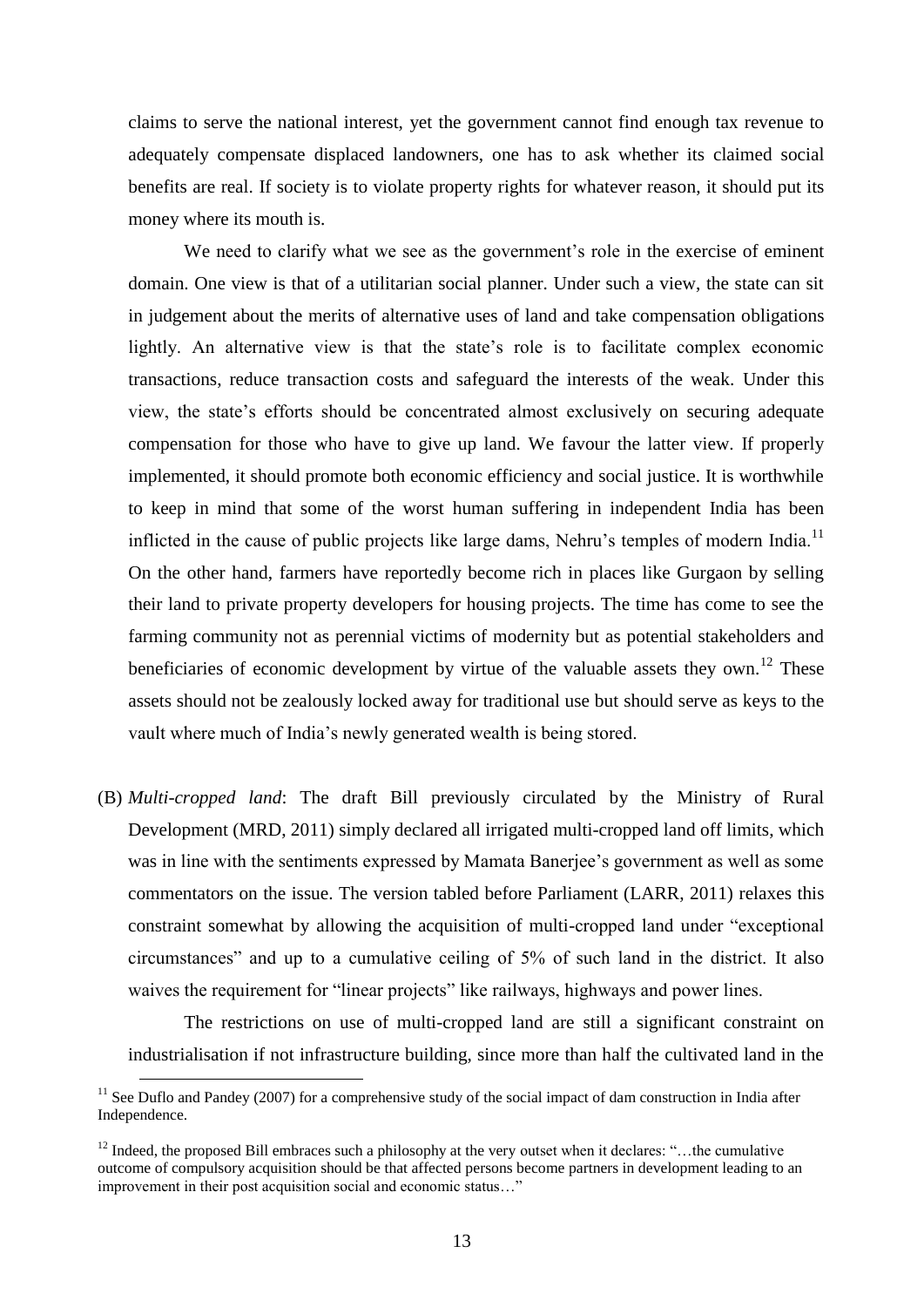claims to serve the national interest, yet the government cannot find enough tax revenue to adequately compensate displaced landowners, one has to ask whether its claimed social benefits are real. If society is to violate property rights for whatever reason, it should put its money where its mouth is.

We need to clarify what we see as the government's role in the exercise of eminent domain. One view is that of a utilitarian social planner. Under such a view, the state can sit in judgement about the merits of alternative uses of land and take compensation obligations lightly. An alternative view is that the state's role is to facilitate complex economic transactions, reduce transaction costs and safeguard the interests of the weak. Under this view, the state's efforts should be concentrated almost exclusively on securing adequate compensation for those who have to give up land. We favour the latter view. If properly implemented, it should promote both economic efficiency and social justice. It is worthwhile to keep in mind that some of the worst human suffering in independent India has been inflicted in the cause of public projects like large dams, Nehru's temples of modern India.<sup>11</sup> On the other hand, farmers have reportedly become rich in places like Gurgaon by selling their land to private property developers for housing projects. The time has come to see the farming community not as perennial victims of modernity but as potential stakeholders and beneficiaries of economic development by virtue of the valuable assets they own.<sup>12</sup> These assets should not be zealously locked away for traditional use but should serve as keys to the vault where much of India's newly generated wealth is being stored.

(B) *Multi*-*cropped land*: The draft Bill previously circulated by the Ministry of Rural Development (MRD, 2011) simply declared all irrigated multi-cropped land off limits, which was in line with the sentiments expressed by Mamata Banerjee's government as well as some commentators on the issue. The version tabled before Parliament (LARR, 2011) relaxes this constraint somewhat by allowing the acquisition of multi-cropped land under "exceptional circumstances" and up to a cumulative ceiling of 5% of such land in the district. It also waives the requirement for "linear projects" like railways, highways and power lines.

The restrictions on use of multi-cropped land are still a significant constraint on industrialisation if not infrastructure building, since more than half the cultivated land in the

 $11$  See Duflo and Pandey (2007) for a comprehensive study of the social impact of dam construction in India after Independence.

<sup>&</sup>lt;sup>12</sup> Indeed, the proposed Bill embraces such a philosophy at the very outset when it declares: "...the cumulative outcome of compulsory acquisition should be that affected persons become partners in development leading to an improvement in their post acquisition social and economic status…"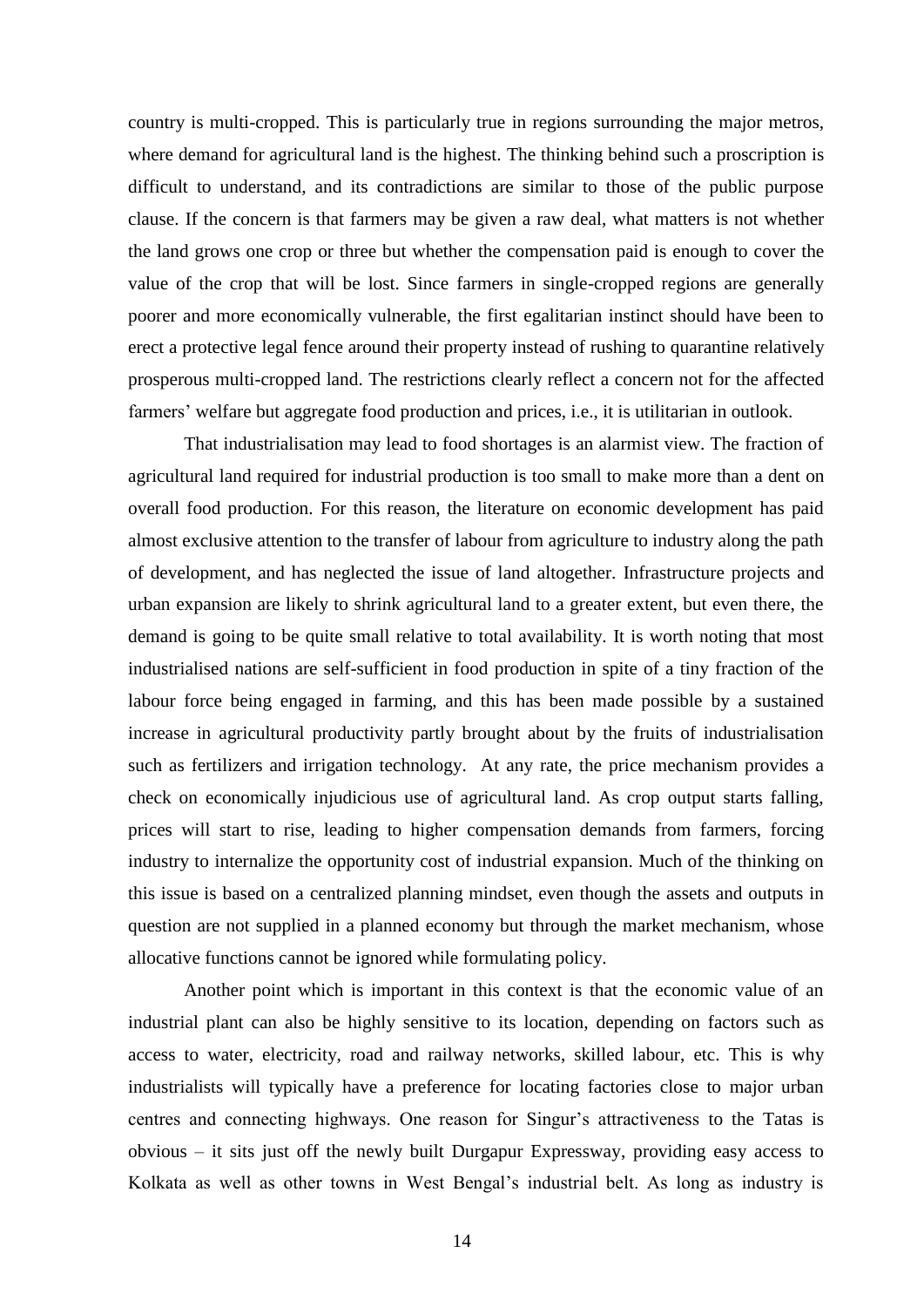country is multi-cropped. This is particularly true in regions surrounding the major metros, where demand for agricultural land is the highest. The thinking behind such a proscription is difficult to understand, and its contradictions are similar to those of the public purpose clause. If the concern is that farmers may be given a raw deal, what matters is not whether the land grows one crop or three but whether the compensation paid is enough to cover the value of the crop that will be lost. Since farmers in single-cropped regions are generally poorer and more economically vulnerable, the first egalitarian instinct should have been to erect a protective legal fence around their property instead of rushing to quarantine relatively prosperous multi-cropped land. The restrictions clearly reflect a concern not for the affected farmers' welfare but aggregate food production and prices, i.e., it is utilitarian in outlook.

That industrialisation may lead to food shortages is an alarmist view. The fraction of agricultural land required for industrial production is too small to make more than a dent on overall food production. For this reason, the literature on economic development has paid almost exclusive attention to the transfer of labour from agriculture to industry along the path of development, and has neglected the issue of land altogether. Infrastructure projects and urban expansion are likely to shrink agricultural land to a greater extent, but even there, the demand is going to be quite small relative to total availability. It is worth noting that most industrialised nations are self-sufficient in food production in spite of a tiny fraction of the labour force being engaged in farming, and this has been made possible by a sustained increase in agricultural productivity partly brought about by the fruits of industrialisation such as fertilizers and irrigation technology. At any rate, the price mechanism provides a check on economically injudicious use of agricultural land. As crop output starts falling, prices will start to rise, leading to higher compensation demands from farmers, forcing industry to internalize the opportunity cost of industrial expansion. Much of the thinking on this issue is based on a centralized planning mindset, even though the assets and outputs in question are not supplied in a planned economy but through the market mechanism, whose allocative functions cannot be ignored while formulating policy.

Another point which is important in this context is that the economic value of an industrial plant can also be highly sensitive to its location, depending on factors such as access to water, electricity, road and railway networks, skilled labour, etc. This is why industrialists will typically have a preference for locating factories close to major urban centres and connecting highways. One reason for Singur's attractiveness to the Tatas is obvious – it sits just off the newly built Durgapur Expressway, providing easy access to Kolkata as well as other towns in West Bengal's industrial belt. As long as industry is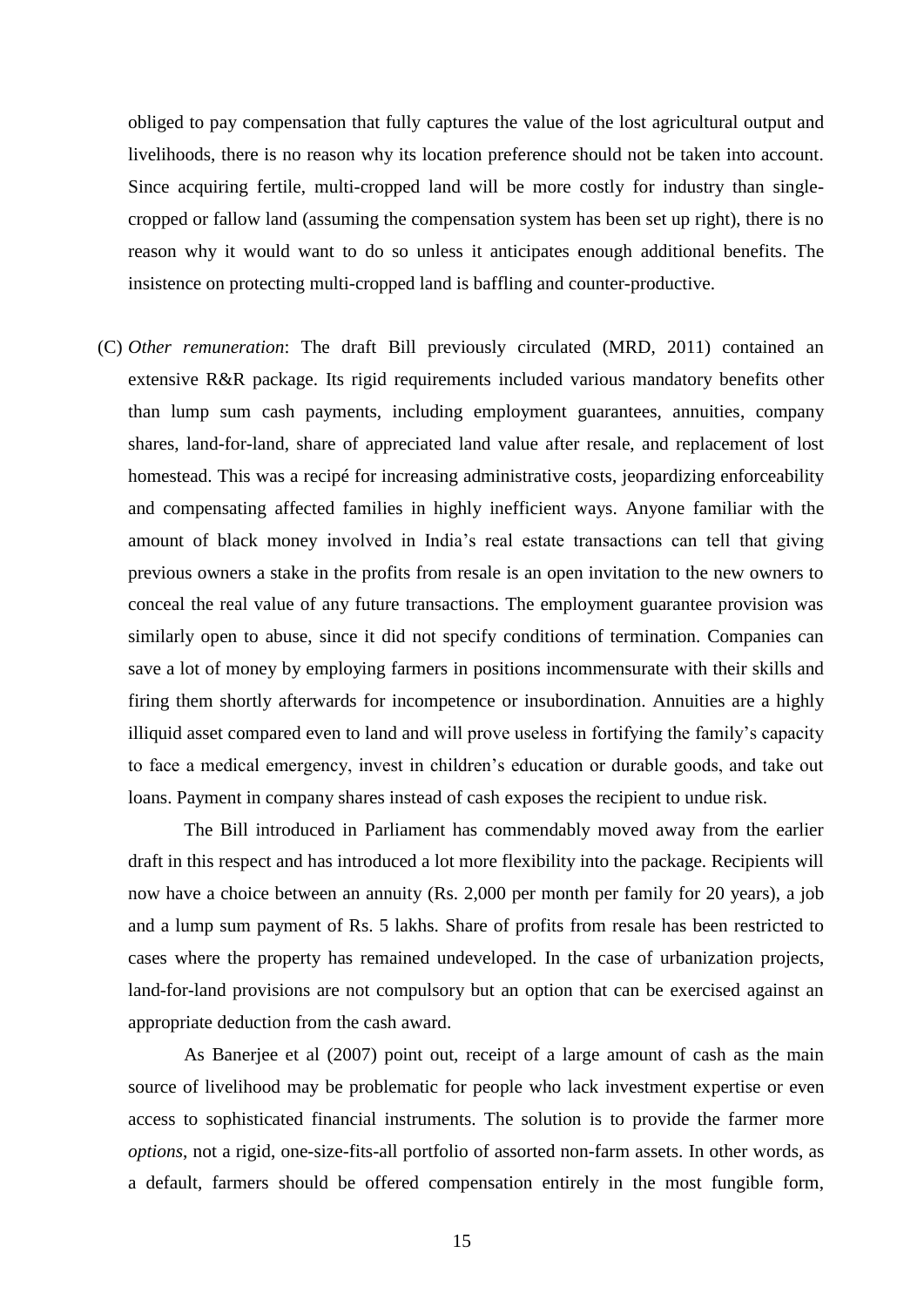obliged to pay compensation that fully captures the value of the lost agricultural output and livelihoods, there is no reason why its location preference should not be taken into account. Since acquiring fertile, multi-cropped land will be more costly for industry than singlecropped or fallow land (assuming the compensation system has been set up right), there is no reason why it would want to do so unless it anticipates enough additional benefits. The insistence on protecting multi-cropped land is baffling and counter-productive.

(C) *Other remuneration*: The draft Bill previously circulated (MRD, 2011) contained an extensive R&R package. Its rigid requirements included various mandatory benefits other than lump sum cash payments, including employment guarantees, annuities, company shares, land-for-land, share of appreciated land value after resale, and replacement of lost homestead. This was a recipé for increasing administrative costs, jeopardizing enforceability and compensating affected families in highly inefficient ways. Anyone familiar with the amount of black money involved in India's real estate transactions can tell that giving previous owners a stake in the profits from resale is an open invitation to the new owners to conceal the real value of any future transactions. The employment guarantee provision was similarly open to abuse, since it did not specify conditions of termination. Companies can save a lot of money by employing farmers in positions incommensurate with their skills and firing them shortly afterwards for incompetence or insubordination. Annuities are a highly illiquid asset compared even to land and will prove useless in fortifying the family's capacity to face a medical emergency, invest in children's education or durable goods, and take out loans. Payment in company shares instead of cash exposes the recipient to undue risk.

The Bill introduced in Parliament has commendably moved away from the earlier draft in this respect and has introduced a lot more flexibility into the package. Recipients will now have a choice between an annuity (Rs. 2,000 per month per family for 20 years), a job and a lump sum payment of Rs. 5 lakhs. Share of profits from resale has been restricted to cases where the property has remained undeveloped. In the case of urbanization projects, land-for-land provisions are not compulsory but an option that can be exercised against an appropriate deduction from the cash award.

As Banerjee et al (2007) point out, receipt of a large amount of cash as the main source of livelihood may be problematic for people who lack investment expertise or even access to sophisticated financial instruments. The solution is to provide the farmer more *options*, not a rigid, one-size-fits-all portfolio of assorted non-farm assets. In other words, as a default, farmers should be offered compensation entirely in the most fungible form,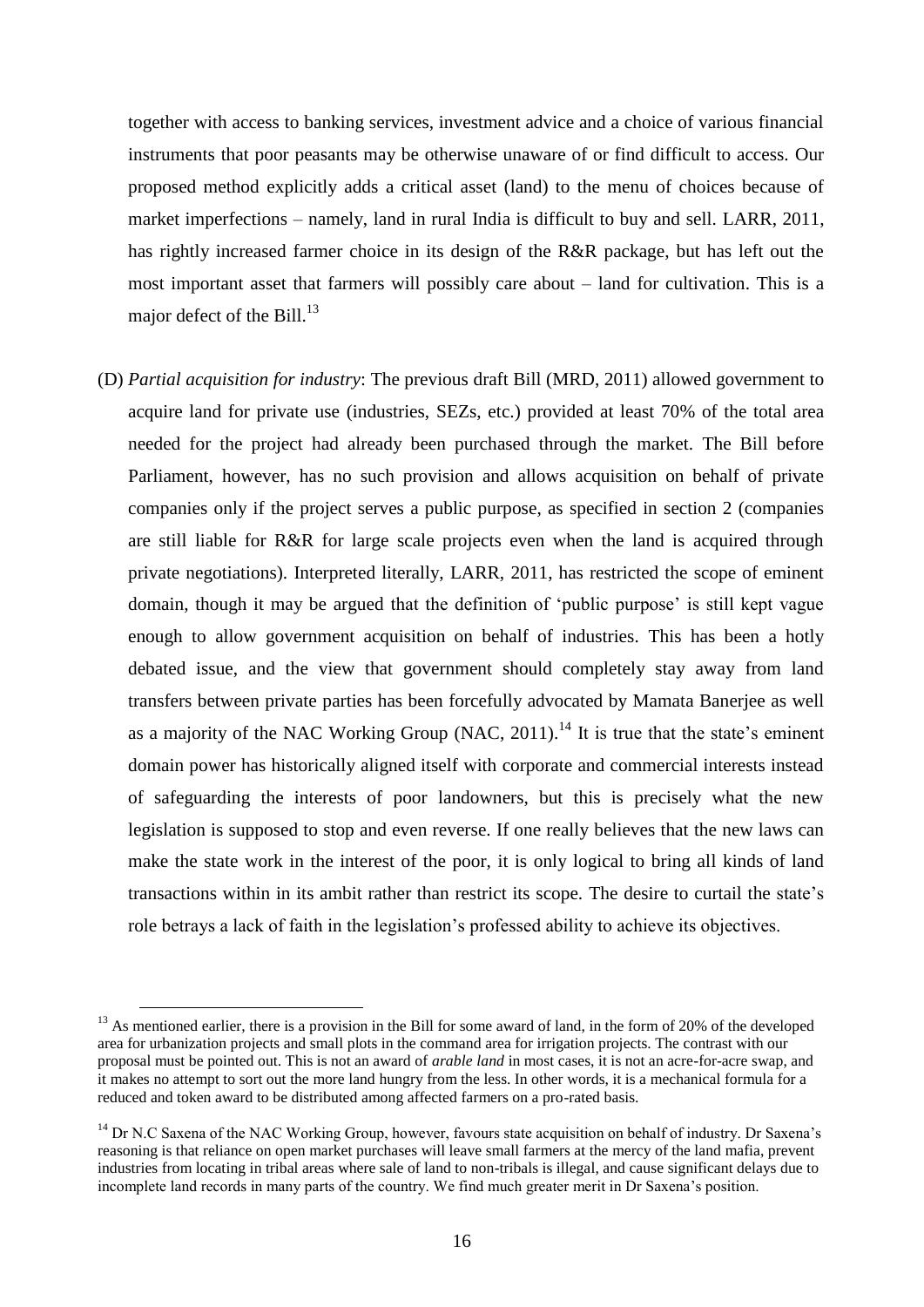together with access to banking services, investment advice and a choice of various financial instruments that poor peasants may be otherwise unaware of or find difficult to access. Our proposed method explicitly adds a critical asset (land) to the menu of choices because of market imperfections – namely, land in rural India is difficult to buy and sell. LARR, 2011, has rightly increased farmer choice in its design of the R&R package, but has left out the most important asset that farmers will possibly care about – land for cultivation. This is a major defect of the Bill.<sup>13</sup>

(D) *Partial acquisition for industry*: The previous draft Bill (MRD, 2011) allowed government to acquire land for private use (industries, SEZs, etc.) provided at least 70% of the total area needed for the project had already been purchased through the market. The Bill before Parliament, however, has no such provision and allows acquisition on behalf of private companies only if the project serves a public purpose, as specified in section 2 (companies are still liable for R&R for large scale projects even when the land is acquired through private negotiations). Interpreted literally, LARR, 2011, has restricted the scope of eminent domain, though it may be argued that the definition of 'public purpose' is still kept vague enough to allow government acquisition on behalf of industries. This has been a hotly debated issue, and the view that government should completely stay away from land transfers between private parties has been forcefully advocated by Mamata Banerjee as well as a majority of the NAC Working Group (NAC,  $2011$ ).<sup>14</sup> It is true that the state's eminent domain power has historically aligned itself with corporate and commercial interests instead of safeguarding the interests of poor landowners, but this is precisely what the new legislation is supposed to stop and even reverse. If one really believes that the new laws can make the state work in the interest of the poor, it is only logical to bring all kinds of land transactions within in its ambit rather than restrict its scope. The desire to curtail the state's role betrays a lack of faith in the legislation's professed ability to achieve its objectives.

 $13$  As mentioned earlier, there is a provision in the Bill for some award of land, in the form of 20% of the developed area for urbanization projects and small plots in the command area for irrigation projects. The contrast with our proposal must be pointed out. This is not an award of *arable land* in most cases, it is not an acre-for-acre swap, and it makes no attempt to sort out the more land hungry from the less. In other words, it is a mechanical formula for a reduced and token award to be distributed among affected farmers on a pro-rated basis.

 $14$  Dr N.C Saxena of the NAC Working Group, however, favours state acquisition on behalf of industry. Dr Saxena's reasoning is that reliance on open market purchases will leave small farmers at the mercy of the land mafia, prevent industries from locating in tribal areas where sale of land to non-tribals is illegal, and cause significant delays due to incomplete land records in many parts of the country. We find much greater merit in Dr Saxena's position.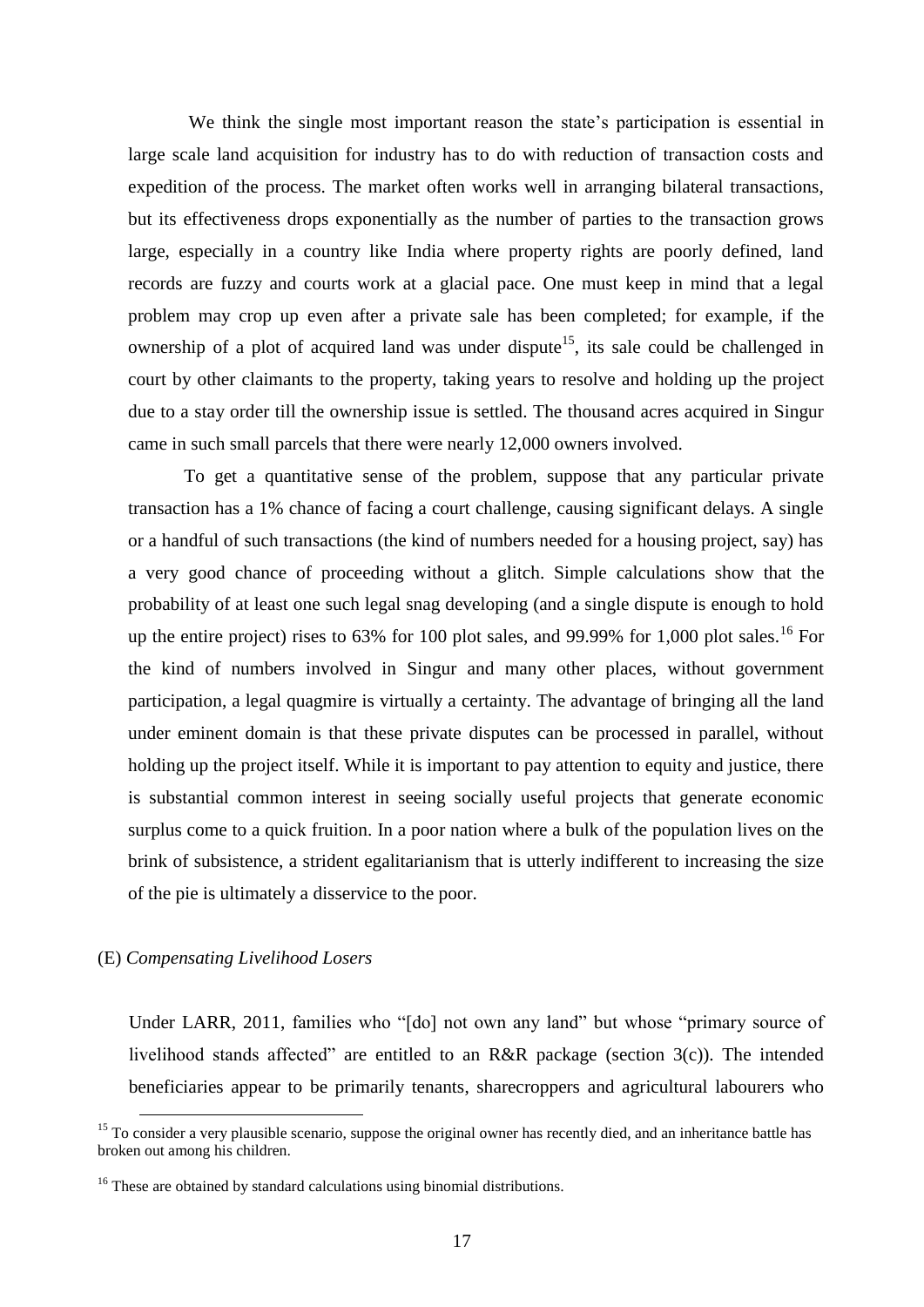We think the single most important reason the state's participation is essential in large scale land acquisition for industry has to do with reduction of transaction costs and expedition of the process. The market often works well in arranging bilateral transactions, but its effectiveness drops exponentially as the number of parties to the transaction grows large, especially in a country like India where property rights are poorly defined, land records are fuzzy and courts work at a glacial pace. One must keep in mind that a legal problem may crop up even after a private sale has been completed; for example, if the ownership of a plot of acquired land was under dispute<sup>15</sup>, its sale could be challenged in court by other claimants to the property, taking years to resolve and holding up the project due to a stay order till the ownership issue is settled. The thousand acres acquired in Singur came in such small parcels that there were nearly 12,000 owners involved.

To get a quantitative sense of the problem, suppose that any particular private transaction has a 1% chance of facing a court challenge, causing significant delays. A single or a handful of such transactions (the kind of numbers needed for a housing project, say) has a very good chance of proceeding without a glitch. Simple calculations show that the probability of at least one such legal snag developing (and a single dispute is enough to hold up the entire project) rises to 63% for 100 plot sales, and 99.99% for 1,000 plot sales.<sup>16</sup> For the kind of numbers involved in Singur and many other places, without government participation, a legal quagmire is virtually a certainty. The advantage of bringing all the land under eminent domain is that these private disputes can be processed in parallel, without holding up the project itself. While it is important to pay attention to equity and justice, there is substantial common interest in seeing socially useful projects that generate economic surplus come to a quick fruition. In a poor nation where a bulk of the population lives on the brink of subsistence, a strident egalitarianism that is utterly indifferent to increasing the size of the pie is ultimately a disservice to the poor.

## (E) *Compensating Livelihood Losers*

1

Under LARR, 2011, families who "[do] not own any land" but whose "primary source of livelihood stands affected" are entitled to an R&R package (section 3(c)). The intended beneficiaries appear to be primarily tenants, sharecroppers and agricultural labourers who

 $15$  To consider a very plausible scenario, suppose the original owner has recently died, and an inheritance battle has broken out among his children.

<sup>&</sup>lt;sup>16</sup> These are obtained by standard calculations using binomial distributions.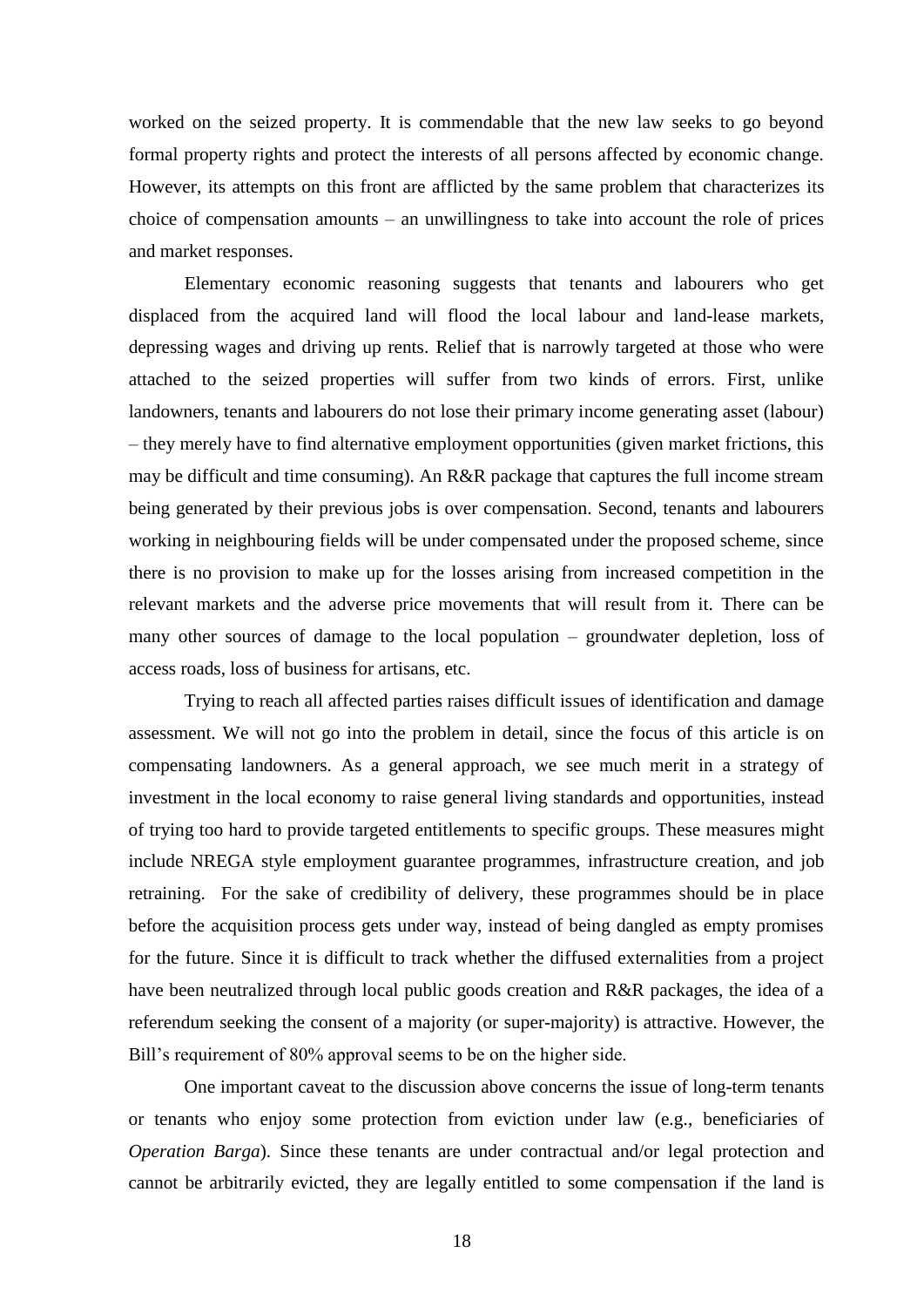worked on the seized property. It is commendable that the new law seeks to go beyond formal property rights and protect the interests of all persons affected by economic change. However, its attempts on this front are afflicted by the same problem that characterizes its choice of compensation amounts – an unwillingness to take into account the role of prices and market responses.

Elementary economic reasoning suggests that tenants and labourers who get displaced from the acquired land will flood the local labour and land-lease markets, depressing wages and driving up rents. Relief that is narrowly targeted at those who were attached to the seized properties will suffer from two kinds of errors. First, unlike landowners, tenants and labourers do not lose their primary income generating asset (labour) – they merely have to find alternative employment opportunities (given market frictions, this may be difficult and time consuming). An R&R package that captures the full income stream being generated by their previous jobs is over compensation. Second, tenants and labourers working in neighbouring fields will be under compensated under the proposed scheme, since there is no provision to make up for the losses arising from increased competition in the relevant markets and the adverse price movements that will result from it. There can be many other sources of damage to the local population – groundwater depletion, loss of access roads, loss of business for artisans, etc.

Trying to reach all affected parties raises difficult issues of identification and damage assessment. We will not go into the problem in detail, since the focus of this article is on compensating landowners. As a general approach, we see much merit in a strategy of investment in the local economy to raise general living standards and opportunities, instead of trying too hard to provide targeted entitlements to specific groups. These measures might include NREGA style employment guarantee programmes, infrastructure creation, and job retraining. For the sake of credibility of delivery, these programmes should be in place before the acquisition process gets under way, instead of being dangled as empty promises for the future. Since it is difficult to track whether the diffused externalities from a project have been neutralized through local public goods creation and R&R packages, the idea of a referendum seeking the consent of a majority (or super-majority) is attractive. However, the Bill's requirement of 80% approval seems to be on the higher side.

One important caveat to the discussion above concerns the issue of long-term tenants or tenants who enjoy some protection from eviction under law (e.g., beneficiaries of *Operation Barga*). Since these tenants are under contractual and/or legal protection and cannot be arbitrarily evicted, they are legally entitled to some compensation if the land is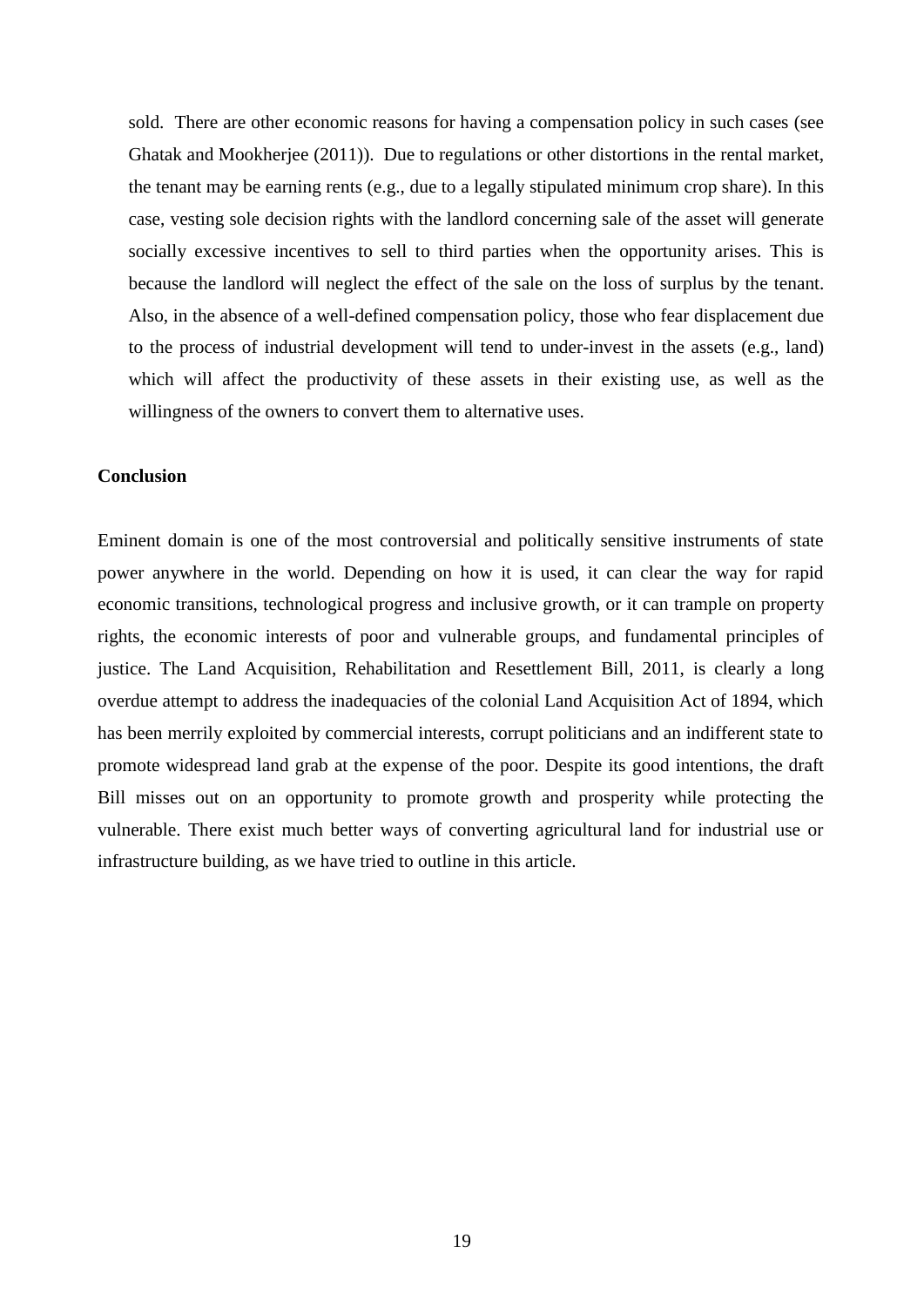sold. There are other economic reasons for having a compensation policy in such cases (see Ghatak and Mookherjee (2011)). Due to regulations or other distortions in the rental market, the tenant may be earning rents (e.g., due to a legally stipulated minimum crop share). In this case, vesting sole decision rights with the landlord concerning sale of the asset will generate socially excessive incentives to sell to third parties when the opportunity arises. This is because the landlord will neglect the effect of the sale on the loss of surplus by the tenant. Also, in the absence of a well-defined compensation policy, those who fear displacement due to the process of industrial development will tend to under-invest in the assets (e.g., land) which will affect the productivity of these assets in their existing use, as well as the willingness of the owners to convert them to alternative uses.

### **Conclusion**

Eminent domain is one of the most controversial and politically sensitive instruments of state power anywhere in the world. Depending on how it is used, it can clear the way for rapid economic transitions, technological progress and inclusive growth, or it can trample on property rights, the economic interests of poor and vulnerable groups, and fundamental principles of justice. The Land Acquisition, Rehabilitation and Resettlement Bill, 2011, is clearly a long overdue attempt to address the inadequacies of the colonial Land Acquisition Act of 1894, which has been merrily exploited by commercial interests, corrupt politicians and an indifferent state to promote widespread land grab at the expense of the poor. Despite its good intentions, the draft Bill misses out on an opportunity to promote growth and prosperity while protecting the vulnerable. There exist much better ways of converting agricultural land for industrial use or infrastructure building, as we have tried to outline in this article.